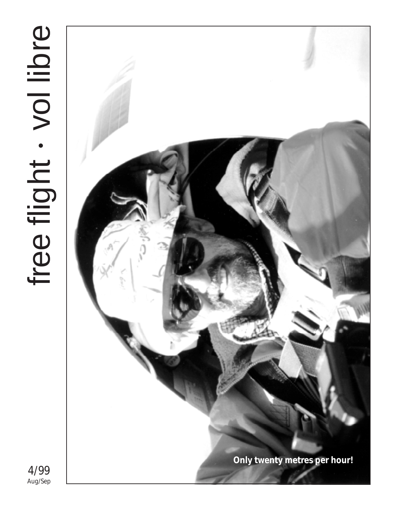# free flight . vol libre Aug/Sep• free flight vol libre

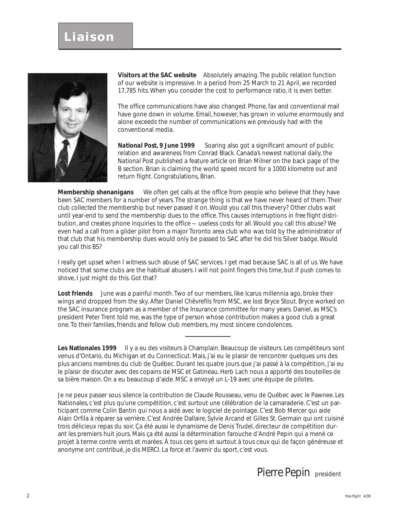

**Visitors at the SAC website** Absolutely amazing. The public relation function of our website is impressive. In a period from 25 March to 21 April, we recorded 17,785 hits. When you consider the cost to performance ratio, it is even better.

The office communications have also changed. Phone, fax and conventional mail have gone down in volume. Email, however, has grown in volume enormously and alone exceeds the number of communications we previously had with the conventional media.

*National Post***, 9 June 1999** Soaring also got a significant amount of public relation and awareness from Conrad Black. Canada's newest national daily, the *National Post* published a feature article on Brian Milner on the back page of the B section. Brian is claiming the world speed record for a 1000 kilometre out and return flight. Congratulations, Brian.

**Membership shenanigans** We often get calls at the office from people who believe that they have been SAC members for a number of years. The strange thing is that we have never heard of them. Their club collected the membership but never passed it on. Would you call this thievery? Other clubs wait until year-end to send the membership dues to the office. This causes interruptions in *free flight* distribution, and creates phone inquiries to the office — useless costs for all. Would you call this abuse? We even had a call from a glider pilot from a major Toronto area club who was told by the administrator of that club that his membership dues would only be passed to SAC after he did his Silver badge. Would you call this BS?

I really get upset when I witness such abuse of SAC services. I get mad because SAC is all of us. We have noticed that some clubs are the habitual abusers. I will not point fingers this time, but if push comes to shove, I just might do this. Got that?

**Lost friends** June was a painful month. Two of our members, like Icarus millennia ago, broke their wings and dropped from the sky. After Daniel Chêvrefils from MSC, we lost Bryce Stout. Bryce worked on the SAC insurance program as a member of the Insurance committee for many years. Daniel, as MSC's president Peter Trent told me, was the type of person whose contribution makes a good club a great one. To their families, friends and fellow club members, my most sincere condolences.

Les Nationales 1999 Il y a eu des visiteurs à Champlain. Beaucoup de visiteurs. Les compétiteurs sont venus d'Ontario, du Michigan et du Connecticut. Mais, j'ai eu le plaisir de rencontrer quelques uns des plus anciens membres du club de Québec. Durant les quatre jours que j'ai passé à la compétition, j'ai eu le plaisir de discuter avec des copains de MSC et Gatineau. Herb Lach nous a apporté des bouteilles de sa bière maison. On a eu beaucoup d'aide. MSC a envoyé un L-19 avec une équipe de pilotes.

Je ne peux passer sous silence la contribution de Claude Rousseau, venu de Québec avec le Pawnee. Les Nationales, c'est plus qu'une compétition, c'est surtout une célébration de la camaraderie. C'est un participant comme Colin Bantin qui nous a aidé avec le logiciel de pointage. C'est Bob Mercer qui aide Alain Orfila à réparer sa verrière. C'est Andrée Dallaire, Sylvie Arcand et Gilles St. Germain qui ont cuisiné trois délicieux repas du soir. Ça été aussi le dynamisme de Denis Trudel, directeur de compétition durant les premiers huit jours. Mais ça été aussi la détermination farouche d'André Pepin qui a mené ce projet à terme contre vents et marées. À tous ces gens et surtout à tous ceux qui de façon généreuse et anonyme ont contribué, je dis MERCI. La force et l'avenir du sport, c'est vous.

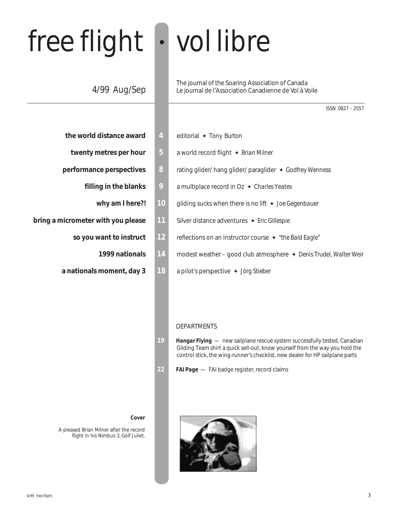# free flight • vol libre

## 4/99 Aug/Sep

The journal of the Soaring Association of Canada Le journal de l'Association Canadienne de Vol à Voile

|  | ISSN 0827-2557 |
|--|----------------|
|  |                |

- **the world distance award 4** editorial ✦ *Tony Burton*
- 
- - -
- - -
	-
- 
- **twenty metres per hour 5** a world record flight ✦ *Brian Milner*
- **performance perspectives 8 a** rating glider/ hang glider/ paraglider ♦ *Godfrey Wenness* 
	- **filling in the blanks 9** a multiplace record in Oz ✦ *Charles Yeates*
		- **why am I here?! 10** gliding sucks when there is no lift ✦ *Joe Gegenbauer*
- **bring a micrometer with you please 11** Silver distance adventures ✦ *Eric Gillespie*
	- **so you want to instruct 12** reflections on an instructor course ✦ *"the Bald Eagle"*
		- **1999 nationals 14** modest weather good club atmosphere ✦ *Denis Trudel, Walter Weir*
	- **a nationals moment, day 3 18** a pilot's perspective ✦ *Jörg Stieber*

#### DEPARTMENTS

- **19** *Hangar Flying*  new sailplane rescue system successfully tested, Canadian Gliding Team shirt a quick sell-out, know yourself from the way you hold the control stick, the wing-runner's checklist, new dealer for HP sailplane parts
- **22** *FAI Page*  FAI badge register, record claims

#### **Cover**

A pleased Brian Milner after the record flight in his Nimbus 3, Golf Juliet.

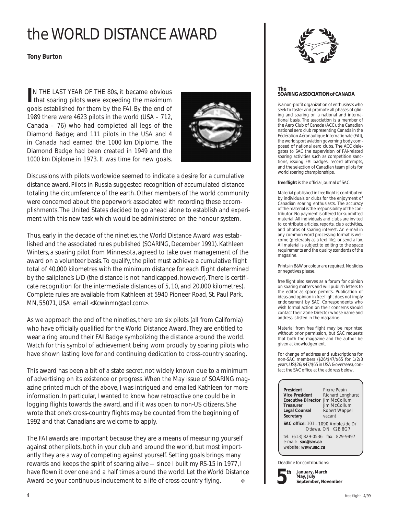## the WORLD DISTANCE AWARD

#### *Tony Burton*

**IN THE LAST YEAR OF THE 80s, it became obvious<br>that soaring pilots were exceeding the maximum** N THE LAST YEAR OF THE 80s, it became obvious goals established for them by the FAI. By the end of 1989 there were 4623 pilots in the world (USA – 712, Canada – 76) who had completed all legs of the Diamond Badge; and 111 pilots in the USA and 4 in Canada had earned the *1000 km Diplome*. The Diamond Badge had been created in 1949 and the *1000 km Diplome* in 1973. It was time for new goals.



Discussions with pilots worldwide seemed to indicate a desire for a cumulative distance award. Pilots in Russia suggested recognition of accumulated distance totaling the circumference of the earth. Other members of the world community were concerned about the paperwork associated with recording these accomplishments. The United States decided to go ahead alone to establish and experiment with this new task which would be administered on the honour system.

Thus, early in the decade of the nineties, the World Distance Award was established and the associated rules published (*SOARING*, December 1991). Kathleen Winters, a soaring pilot from Minnesota, agreed to take over management of the award on a volunteer basis. To qualify, the pilot must achieve a cumulative flight total of 40,000 kilometres with the minimum distance for each flight determined by the sailplane's L/D (the distance is not handicapped, however). There is certificate recognition for the intermediate distances of 5, 10, and 20,000 kilometres). Complete rules are available from Kathleen at 5940 Pioneer Road, St. Paul Park, MN, 55071, USA email <*Kcwinmn@aol.com>*.

As we approach the end of the nineties, there are six pilots (all from California) who have officially qualified for the World Distance Award. They are entitled to wear a ring around their FAI Badge symbolizing the distance around the world. Watch for this symbol of achievement being worn proudly by soaring pilots who have shown lasting love for and continuing dedication to cross-country soaring.

This award has been a bit of a state secret, not widely known due to a minimum of advertising on its existence or progress. When the May issue of SOARING magazine printed much of the above, I was intrigued and emailed Kathleen for more information. In particular, I wanted to know how retroactive one could be in logging flights towards the award, and if it was open to non-US citizens. She wrote that one's cross-country flights may be counted from the beginning of 1992 and that Canadians are welcome to apply.

The FAI awards are important because they are a means of measuring yourself against other pilots, both in your club and around the world, but most importantly they are a way of competing against yourself. Setting goals brings many rewards and keeps the spirit of soaring alive — since I built my RS-15 in 1977, I have flown it over one and a half times around the world. Let the World Distance Award be *your* continuous inducement to a life of cross-country flying. ❖



#### **The SOARING ASSOCIATION of CANADA**

is a non-profit organization of enthusiasts who seek to foster and promote all phases of gliding and soaring on a national and international basis. The association is a member of the Aero Club of Canada (ACC), the Canadian national aero club representing Canada in the Fédération Aéronautique Internationale (FAI), the world sport aviation governing body composed of national aero clubs. The ACC delegates to SAC the supervision of FAI-related soaring activities such as competition sanctions, issuing FAI badges, record attempts, and the selection of Canadian team pilots for world soaring championships.

*free flight* is the official journal of SAC.

Material published in *free flight* is contributed by individuals or clubs for the enjoyment of Canadian soaring enthusiasts. The accuracy of the material is the responsibility of the contributor. No payment is offered for submitted material. All individuals and clubs are invited to contribute articles, reports, club activities, and photos of soaring interest. An e-mail in any common word processing format is welcome (preferably as a text file), or send a fax. All material is subject to editing to the space requirements and the quality standards of the magazine.

Prints in B&W or colour are required. No slides or negatives please.

*free flight* also serves as a forum for opinion on soaring matters and will publish letters to the editor as space permits. Publication of ideas and opinion in *free flight* does not imply endorsement by SAC. Correspondents who wish formal action on their concerns should contact their Zone Director whose name and address is listed in the magazine.

Material from *free flight* may be reprinted without prior permission, but SAC requests that both the magazine and the author be given acknowledgement.

For change of address and subscriptions for non-SAC members (\$26/\$47/\$65 for 1/2/3 years, US\$26/\$47/\$65 in USA & overseas), contact the SAC office at the address below.

**President** Pierre Pepin<br>**Vice President** Richard Long **Executive Director** Jim McCollum **Treasurer** Jim McCollum<br> **Legal Counsel** Robert Wappe **Secretary** vacant

**Richard Longhurst Legal Counsel** Robert Wappel

**SAC office:** 101 – 1090 Ambleside Dr Ottawa, ON K2B 8G7

tel: (613) 829-0536 fax: 829-9497 e-mail: **sac@sac.ca** website: **www.sac.ca**

Deadline for contributions:



**January, March May, July September, November**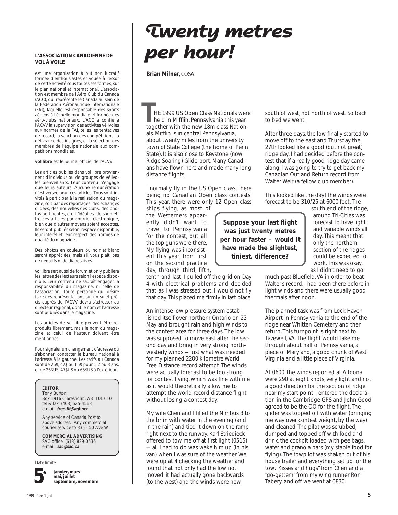#### **L'ASSOCIATION CANADIENNE DE VOL À VOILE**

est une organisation à but non lucratif formée d'enthousiastes et vouée à l'essor de cette activité sous toutes ses formes, sur le plan national et international. L'association est membre de l'Aéro Club du Canada (ACC), qui représente le Canada au sein de la Fédération Aéronautique Internationale (FAI), laquelle est responsable des sports aériens à l'échelle mondiale et formée des aéro-clubs nationaux. L'ACC a confié à l'ACVV la supervision des activités vélivoles aux normes de la FAI, telles les tentatives de record, la sanction des compétitions, la délivrance des insignes, et la sélection des membres de l'équipe nationale aux compétitions mondiales.

**vol libre** est le journal officiel de l'ACVV.

Les articles publiés dans *vol libre* proviennent d'individus ou de groupes de vélivoles bienveillants. Leur contenu n'engage que leurs auteurs. Aucune rémunération n'est versée pour ces articles. Tous sont invités à participer à la réalisation du magazine, soit par des reportages, des échanges d'idées, des nouvelles des clubs, des photos pertinentes, etc. L'idéal est de soumettre ces articles par courrier électronique, bien que d'autres moyens soient acceptés. Ils seront publiés selon l'espace disponible, leur intérêt et leur respect des normes de qualité du magazine.

Des photos en couleurs ou noir et blanc seront appréciées, mais s'il vous plaît, pas de négatifs ni de diapositives.

*vol libre* sert aussi de forum et on y publiera les lettres des lecteurs selon l'espace disponible. Leur contenu ne saurait engager la responsabilité du magazine, ni celle de l'association. Toute personne qui désire faire des représentations sur un sujet précis auprès de l'ACVV devra s'adresser au directeur régional, dont le nom et l'adresse sont publiés dans le magazine.

Les articles de *vol libre* peuvent être reproduits librement, mais le nom du magazine et celui de l'auteur doivent être mentionnés.

Pour signaler un changement d'adresse ou s'abonner, contacter le bureau national à l'adresse à la gauche. Les tarifs au Canada sont de 26\$, 47\$ ou 65\$ pour 1, 2 ou 3 ans, et de 26\$US, 47\$US ou 65\$US à l'extérieur.

#### **EDITOR**

Tony Burton Box 1916 Claresholm, AB T0L 0T0 tel & fax (403) 625-4563 e-mail **free-flt@agt.net**

Any service of Canada Post to above address. Any commercial courier service to 335 - 50 Ave W

#### **COMMERCIAL ADVERTISING**

SAC office (613) 829-0536 e-mail **sac@sac.ca**

Date limite:



**janvier, mars mai, juillet septembre, novembre**

# **Twenty metres per hour!**

 **Brian Milner**, COSA

HE 1999 US Open Class Nationals were held in Mifflin, Pennsylvania this year, together with the new 18m class Nationals. Mifflin is in central Pennsylvania, about twenty miles from the university town of State College (the home of Penn State). It is also close to Keystone (now Ridge Soaring) Gliderport. Many Canadians have flown here and made many long distance flights. **THE 1999 US Open Class Nationals were** south of west, not north of west. So back<br>held in Mifflin, Pennsylvania this year, to bed we went.<br>together with the new 18m class Nation-

I normally fly in the US Open class, there being no Canadian Open class contests. This year, there were only 12 Open class

ships flying, as most of the Westerners apparently didn't want to travel to Pennsylvania for the contest, but all the top guns were there. My flying was inconsistent this year; from first on the second practice day, through third, fifth,

tenth and last. I pulled off the grid on Day 4 with electrical problems and decided that as I was stressed out, I would not fly that day. This placed me firmly in last place.

An intense low pressure system established itself over northern Ontario on 23 May and brought rain and high winds to the contest area for three days. The low was supposed to move east after the second day and bring in very strong northwesterly winds — just what was needed for my planned 2200 kilometre World Free Distance record attempt. The winds were actually forecast to be too strong for contest flying, which was fine with me as it would theoretically allow me to attempt the world record distance flight without losing a contest day.

My wife Cheri and I filled the Nimbus 3 to the brim with water in the evening (and in the rain) and tied it down on the ramp right next to the runway. Karl Striedieck offered to tow me off at first light (0515) — all I had to do was wake him up (in his van) when I was sure of the weather. We were up at 4 checking the weather and found that not only had the low not moved, it had actually gone backwards (to the west) and the winds were now

to bed we went.

After three days, the low finally started to move off to the east and Thursday the 27th looked like a good (but not great) ridge day. I had decided before the contest that if a really good ridge day came along, I was going to try to get back my Canadian Out and Return record from Walter Weir (a fellow club member).

This looked like the day! The winds were forecast to be 310/25 at 6000 feet. The

**Suppose your last flight was just twenty** *metres* **per hour faster – would it have made the slightest, tiniest, difference?**

south end of the ridge, around Tri-Cities was forecast to have light and variable winds all day. This meant that only the northern section of the ridges could be expected to work. This was okay, as I didn't need to go

much past Bluefield, VA in order to beat Walter's record. I had been there before in light winds and there were usually good thermals after noon.

The planned task was from Lock Haven Airport in Pennsylvania to the end of the ridge near Whitten Cemetery and then return. This turnpoint is right next to Tazewell, VA. The flight would take me through about half of Pennsylvania, a piece of Maryland, a good chunk of West Virginia and a little piece of Virginia.

At 0600, the winds reported at Altoona were 290 at eight knots, very light and not a good direction for the section of ridge near my start point. I entered the declaration in the Cambridge GPS and John Good agreed to be the OO for the flight. The glider was topped off with water (bringing me way over contest weight, by the way) and cleaned. The pilot was scrubbed, dumped and topped off with food and drink, the cockpit loaded with pee bags, water and granola bars (my staple food for flying). The towpilot was shaken out of his house trailer and everything set up for the tow. "Kisses and hugs" from Cheri and a "go-gettem" from my wing runner Ron Tabery, and off we went at 0830.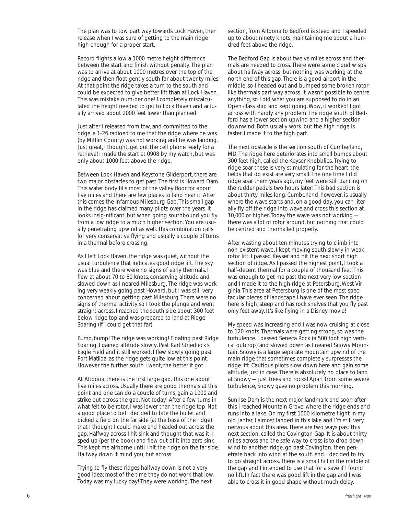The plan was to tow part way towards Lock Haven, then release when I was sure of getting to the main ridge high enough for a proper start.

Record flights allow a 1000 metre height difference between the start and finish without penalty. The plan was to arrive at about 1000 metres over the *top* of the ridge and then float gently south for about twenty miles. At that point the ridge takes a turn to the south and could be expected to give better lift than at Lock Haven. This was mistake num-ber one! I completely miscalculated the height needed to get to Lock Haven and actually arrived about 2000 feet lower than planned.

Just after I released from tow, and committed to the ridge, a 1-26 radioed to me that the ridge where he was (by Mifflin County) was *not* working and he was landing. Just great, I thought, get out the cell phone ready for a retrieve! I made the start at 0908 by my watch, but was only about 1000 feet above the ridge.

Between Lock Haven and Keystone Gliderport, there are two major obstacles to get past. The first is Howard Dam. This water body fills most of the valley floor for about five miles and there are few places to land near it. After this comes the infamous Milesburg Gap. This small gap in the ridge has claimed many pilots over the years. It looks insig-nificant, but when going southbound you fly from a low ridge to a much higher section. You are usually penetrating upwind as well. This combination calls for very conservative flying and usually a couple of turns in a thermal before crossing.

As I left Lock Haven, the ridge was quiet, without the usual turbulence that indicates good ridge lift. The sky was blue and there were no signs of early thermals. I flew at about 70 to 80 knots, conserving altitude and slowed down as I neared Milesburg. The ridge was working very weakly going past Howard, but I was still very concerned about getting past Milesburg. There were no signs of thermal activity so I took the plunge and went straight across. I reached the south side about 300 feet below ridge top and was prepared to land at Ridge Soaring (if I could get that far).

Bump, bump! The ridge was working! Floating past Ridge Soaring, I gained altitude slowly. Past Karl Striedieck's Eagle Field and it still worked. I flew slowly going past Port Matilda, as the ridge gets quite low at this point. However the further south I went, the better it got.

At Altoona, there is the first large gap. This one about five miles across. Usually there are good thermals at this point and one can do a couple of turns, gain a 1000 and strike out across the gap. Not today! After a few turns in what felt to be rotor, I was lower than the ridge top. Not a good place to be! I decided to bite the bullet and picked a field on the far side (at the base of the ridge) that I thought I could make and headed out across the gap. Halfway across I hit sink and thought that was it. I sped up (per the book) and flew out of it into zero sink. This kept me airborne until I hit the ridge on the far side. Halfway down it mind you, but across.

Trying to fly these ridges halfway down is *not* a very good idea; most of the time they do not work that low. Today was my lucky day! They were working. The next

section, from Altoona to Bedford is steep and I speeded up to about ninety knots, maintaining me about a hundred feet above the ridge.

The Bedford Gap is about twelve miles across and thermals are needed to cross. There were some cloud wisps about halfway across, but nothing was working at the north end of this gap. There is a good airport in the middle, so I headed out and bumped some broken rotorlike thermals part way across. It wasn't possible to centre anything, so I did what you are supposed to do in an Open class ship and kept going. Wow, it worked! I got across with hardly any problem. The ridge south of Bedford has a lower section upwind and a higher section downwind. Both usually work, but the high ridge is faster. I made it to the high part.

The next obstacle is the section south of Cumberland, MD. The ridge here deteriorates into small bumps about 300 feet high, called the Keyser Knobblies. Trying to ridge soar these is very stimulating for the heart; the fields that do exist are *very* small. The one time I did ridge soar them years ago, my feet were still dancing on the rudder pedals two hours later! This bad section is about thirty miles long. Cumberland, however, is usually where the wave starts and, on a good day, you can literally fly off the ridge into wave and cross this section at 10,000 or higher. Today the wave was not working there was a lot of rotor around, but nothing that could be centred and thermalled properly.

After wasting about ten minutes trying to climb into non-existent wave, I kept moving south slowly in weak rotor lift. I passed Keyser and hit the next short high section of ridge. As I passed the highest point, I took a half-decent thermal for a couple of thousand feet. This was enough to get me past the next very low section and I made it to the high ridge at Petersburg, West Virginia. This area at Petersburg is one of the most spectacular pieces of landscape I have ever seen. The ridge here is high, steep and has rock shelves that you fly past only feet away. It's like flying in a Disney movie!

My speed was increasing and I was now cruising at close to 120 knots. Thermals were getting strong, so was the turbulence. I passed Seneca Rock (a 500 foot high vertical outcrop) and slowed down as I neared Snowy Mountain. Snowy is a large separate mountain upwind of the main ridge that sometimes completely surpresses the ridge lift. Cautious pilots slow down here and gain some altitude, just in case. There is absolutely no place to land at Snowy — just trees and rocks! Apart from some severe turbulence, Snowy gave no problem this morning.

Sunrise Dam is the next major landmark and soon after this I reached Mountain Grove, where the ridge ends and runs into a lake. On my first 1000 kilometre flight in my old Jantar, I almost landed in this lake and I'm still very nervous about this area. There are two ways past this next section, called the Covington Gap. It is about thirty miles across and the safe way to cross is to drop downwind to another ridge, go past Covington, then penetrate back into wind at the south end. I decided to try to go straight across. There is a small hill in the middle of the gap and I intended to use that for a save if I found no lift. In fact there was good lift in the gap and I was able to cross it in good shape without much delay.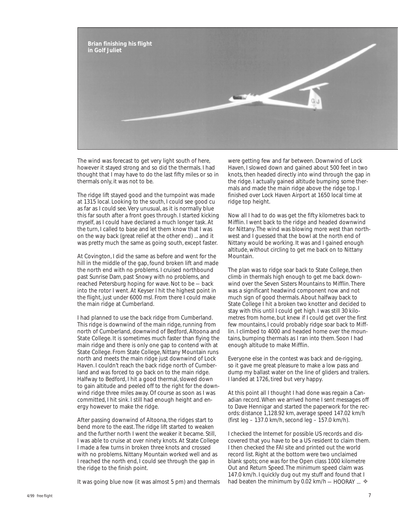

The wind was forecast to get very light south of here, however it stayed strong and so did the thermals. I had thought that I may have to do the last fifty miles or so in thermals only, it was not to be.

The ridge lift stayed good and the turnpoint was made at 1315 local. Looking to the south, I could see good cu as far as I could see. Very unusual, as it is normally blue this far south after a front goes through. I started kicking myself, as I could have declared a much longer task. At the turn, I called to base and let them know that I was on the way back (great relief at the other end) ... and it was pretty much the same as going south, except faster.

At Covington, I did the same as before and went for the hill in the middle of the gap, found broken lift and made the north end with no problems. I cruised northbound past Sunrise Dam, past Snowy with no problems, and reached Petersburg hoping for wave. Not to be — back into the rotor I went. At Keyser I hit the highest point in the flight, just under 6000 msl. From there I could make the main ridge at Cumberland.

I had planned to use the back ridge from Cumberland. This ridge is downwind of the main ridge, running from north of Cumberland, downwind of Bedford, Altoona and State College. It is sometimes much faster than flying the main ridge and there is only one gap to contend with at State College. From State College, Nittany Mountain runs north and meets the main ridge just downwind of Lock Haven. I couldn't reach the back ridge north of Cumberland and was forced to go back on to the main ridge. Halfway to Bedford, I hit a good thermal, slowed down to gain altitude and peeled off to the right for the downwind ridge three miles away. Of course as soon as I was committed, I hit sink. I still had enough height and energy however to make the ridge.

After passing downwind of Altoona, the ridges start to bend more to the east. The ridge lift started to weaken and the further north I went the weaker it became. Still, I was able to cruise at over ninety knots. At State College I made a few turns in broken three knots and crossed with no problems. Nittany Mountain worked well and as I reached the north end, I could see through the gap in the ridge to the finish point.

It was going blue now (it was almost 5 pm) and thermals

were getting few and far between. Downwind of Lock Haven, I slowed down and gained about 500 feet in two knots, then headed directly into wind through the gap in the ridge. I actually gained altitude bumping some thermals and made the main ridge above the ridge top. I finished over Lock Haven Airport at 1650 local time at ridge top height.

Now all I had to do was get the fifty kilometres back to Mifflin. I went back to the ridge and headed downwind for Nittany. The wind was blowing more west than northwest and I guessed that the bowl at the north end of Nittany would be working. It was and I gained enough altitude, without circling to get me back on to Nittany Mountain.

The plan was to ridge soar back to State College, then climb in thermals high enough to get me back downwind over the Seven Sisters Mountains to Mifflin. There was a significant headwind component now and not much sign of good thermals. About halfway back to State College I hit a broken two knotter and decided to stay with this until I could get high. I was still 30 kilometres from home, but knew if I could get over the first few mountains, I could probably ridge soar back to Mifflin. I climbed to 4000 and headed home over the mountains, bumping thermals as I ran into them. Soon I had enough altitude to make Mifflin.

Everyone else in the contest was back and de-rigging, so it gave me great pleasure to make a low pass and dump my ballast water on the line of gliders and trailers. I landed at 1726, tired but very happy.

At this point all I thought I had done was regain a Canadian record. When we arrived home I sent messages off to Dave Hennigar and started the paperwork for the records: distance 1,128.92 km, average speed 147.02 km/h (first leg – 137.0 km/h, second leg – 157.0 km/h).

I checked the Internet for possible US records and discovered that you have to be a US resident to claim them. I then checked the FAI site and printed out the world record list. Right at the bottom were two unclaimed blank spots; one was for the Open class 1000 kilometre Out and Return Speed. The minimum speed claim was 147.0 km/h. I quickly dug out my stuff and found that I had beaten the minimum by 0.02 km/h - HOORAY ...  $\approx$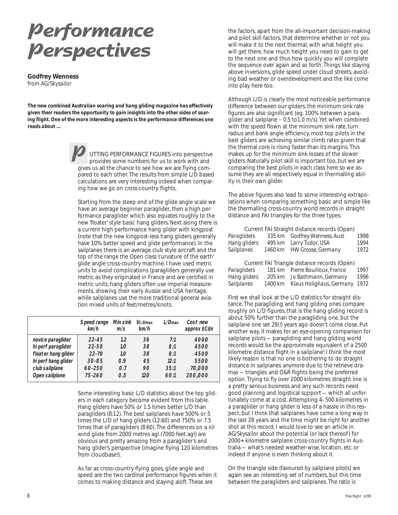# **Performance Perspectives**

**Godfrey Wenness** from *AG/Skysailor*

*The new combined Australian soaring and hang gliding magazine has effectively given their readers the opportunity to gain insights into the other sides of soaring flight. One of the more interesting aspects is the performance differences one reads about ...*

> UTTING PERFORMANCE FIGURES into perspective provides some numbers for us to work with and gives us all the chance to see how we are flying compared to each other. The results from simple L/D based calculations are very interesting indeed when comparing how we go on cross-country flights. **P**

Starting from the steep end of the glide angle scale we have an average beginner paraglider, then a high performance paraglider which also equates roughly to the new 'floater' style basic hang gliders. Next along there is a current high performance hang glider with kingpost (note that the new kingpost-less hang gliders generally have 10% better speed and glide performance). In the sailplanes there is an average club style aircraft and the top of the range the Open class 'curvature of the earth' glide angle cross-country machine. I have used metric units to avoid complications (paragliders generally use metric as they originated in France and are certified in metric units; hang gliders often use imperial measurements, showing their early Aussie and USA heritage, while sailplanes use the more traditional general aviation mixed units of feet/metres/knots.

|                     | Speed range<br>km/h | Min sink<br>m/s | VL/Dmax<br>km/h | $1/D$ max | Cost new<br>approx \$Cdn |
|---------------------|---------------------|-----------------|-----------------|-----------|--------------------------|
| novice paraglider   | $22 - 4.5$          | 1,2             | .36             | 7.1       | <i>4000</i>              |
| hi perf paraglider  | 22-50               | 1.0             | 38.             | 8:1       | 4500                     |
| floater hang glider | $22 - 70$           | 1.0             | 38.             | 8:1       | 4500                     |
| hi perf hang glider | $30 - 85$           | 0.9             | 4.5             | 12.1      | 5500                     |
| club sailplane      | 60-250              | 0.7             | 90              | 35.1      | 70,000                   |
| Open sailplane      | $75 - 260$          | 0.5             | 120             | 60:1      | 200,000                  |

Some interesting basic L/D statistics about the top gliders in each category become evident from this table. Hang gliders have 50% or 1.5 times better L/D than paragliders (8:12). The best sailplanes have 500% or 5 times the L/D of hang gliders (12:60) and 750% or 7.5 times that of paragliders (8:60). The differences on a nil wind glide from 2000 metres agl (7000 feet agl) are obvious and pretty amazing from a paraglider's and hang glider's perspective (imagine flying 120 kilometres from cloudbase!).

As far as cross-country flying goes, glide angle and speed are the two cardinal performance figures when it comes to making distance and staying aloft. These are

the factors, apart from the all-important decision-making and pilot skill factors, that determine whether or not you will make it to the next thermal, with what height you will get there, how much height you need to gain to get to the next one and thus how quickly you will complete the sequence over again and so forth. Things like staying above inversions, glide speed under cloud streets, avoiding bad weather or overdevelopment and the like come into play here too.

Although L/D is clearly the most noticeable performance difference between our gliders, the minimum sink rate figures are also significant (eg. 100% between a paraglider and sailplane – 0.5 to1.0 m/s). Yet when combined with the speed flown at the minimum sink rate, turn radius and bank angle efficiency, most top pilots in the best gliders are achieving similar climb rates given that the thermal core is rising faster than its margins. This makes up for the minimum sink losses of the slower gliders. Naturally pilot skill is important too, but we are comparing the best pilots in each class here so we assume they are all respectively equal in thermalling ability in their own glider.

The above figures also lead to some interesting extrapolations when comparing something basic and simple like the thermalling cross-country world records in straight distance and FAI triangles for the three types:

|              | Current FAI Straight distance records (Open) |      |
|--------------|----------------------------------------------|------|
| Paragliders  | 335 km Godfrey Wenness, Aust                 | 1998 |
| Hang gliders | 495 km Larry Tudor, USA                      | 1994 |
| Sailplanes   | 1460 km HW Grosse, Germany                   | 1972 |
|              |                                              |      |
|              | Current FAI Triangle distance records (Open) |      |
| Paragliders  | 181 km Pierre Rouilloux France               |      |

|              |         | <b>UGITURE IT'S THAIRS USTAINS TUDIOS</b> |      |
|--------------|---------|-------------------------------------------|------|
| Paragliders  |         | 181 km Pierre Bouilloux, France           | 1997 |
| Hang gliders | 205 km  | Jo Bathmann, Germany                      | 1996 |
| Sailplanes   | 1400 km | Klaus Holighaus, Germany 1972             |      |

First we shall look at the L/D statistics for straight distance. The paragliding and hang gliding ones compare roughly on L/D figures, that is the hang gliding record is about 50% further than the paragliding one, but the sailplane one set 28(!) years ago doesn't come close. Put another way, it makes for an eye-opening comparison for sailplane pilots — paragliding and hang gliding world records would be the approximate equivalent of a 2500 kilometre distance flight in a sailplane! I think the most likely reason is that no one is bothering to do straight distance in sailplanes anymore due to the retrieve dramas — triangles and O&R flights being the preferred option. Trying to fly over 2000 kilometres straight line is a pretty serious business and any such records need good planning and logistical support — which all unfortunately come at a cost. Attempting 4–500 kilometres in a paraglider or hang glider is less of a hassle in this respect, but I think that sailplanes have come a long way in the last 28 years and the time might be right for another shot at this record. I would love to see an article in AG/Skysailor about the potential (or lack thereof) for 2000+ kilometre sailplane cross-country flights in Australia — what's needed weather-wise, location, etc. or indeed if anyone is even thinking about it.

On the triangle side (favoured by sailplane pilots) we again see an interesting set of numbers, but this time between the paragliders and sailplanes. The ratio is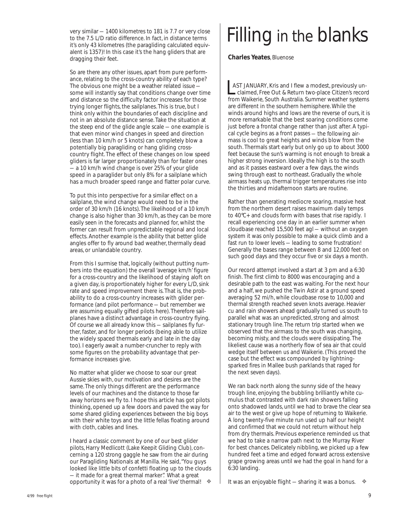very similar — 1400 kilometres to 181 is 7.7 or very close to the 7.5 L/D ratio difference. In fact, in distance terms it's only 43 kilometres (the paragliding calculated equivalent is 1357)! In this case it's the hang gliders that are dragging their feet.

So are there any other issues, apart from pure performance, relating to the cross-country ability of each type? The obvious one might be a weather related issue some will instantly say that conditions change over time and distance so the difficulty factor increases for those trying longer flights, the sailplanes. This is true, but I think only within the boundaries of each discipline and not in an absolute distance sense. Take the situation at the steep end of the glide angle scale — one example is that even minor wind changes in speed and direction (less than 10 km/h or 5 knots) can completely blow a potentially big paragliding or hang gliding crosscountry flight. The effect of these changes on low speed gliders is far larger proportionately than for faster ones — a 10 km/h wind change is over 25% of your glide speed in a paraglider but only 8% for a sailplane which has a much broader speed range and flatter polar curve.

To put this into perspective for a similar effect on a sailplane, the wind change would need to be in the order of 30 km/h (16 knots). The likelihood of a 10 km/h change is also higher than 30 km/h, as they can be more easily seen in the forecasts and planned for, whilst the former can result from unpredictable regional and local effects. Another example is the ability that better glide angles offer to fly around bad weather, thermally dead areas, or unlandable country.

From this I surmise that, logically (without putting numbers into the equation) the overall 'average km/h' figure for a cross-country and the likelihood of staying aloft on a given day, is proportionately higher for every L/D, sink rate and speed improvement there is. That is, the probability to do a cross-country increases with glider performance (and pilot performance — but remember we are assuming equally gifted pilots here). Therefore sailplanes have a distinct advantage in cross-country flying. Of course we all already know this — sailplanes fly further, faster, and for longer periods (being able to utilize the widely spaced thermals early and late in the day too). I eagerly await a number-cruncher to reply with some figures on the probability advantage that performance increases give.

No matter what glider we choose to soar our great Aussie skies with, our motivation and desires are the same. The only things different are the performance levels of our machines and the distance to those far away horizons we fly to. I hope this article has got pilots thinking, opened up a few doors and paved the way for some shared gliding experiences between the big boys with their white toys and the little fellas floating around with cloth, cables and lines.

I heard a classic comment by one of our best glider pilots, Harry Medlicott (Lake Keepit Gliding Club), concerning a 120 strong gaggle he saw from the air during our Paragliding Nationals at Manilla. He said, "You guys looked like little bits of confetti floating up to the clouds — it made for a great thermal marker". What a great opportunity it was for a photo of a real 'live' thermal!

# Filling in the blanks

 **Charles Yeates***, Bluenose*

 AST JANUARY, Kris and I flew a modest, previously un claimed, Free Out & Return two-place Citizen's record **AST JANUARY, Kris and I flew a modest, previously un-<br>
claimed, Free Out & Return two-place Citizen's record<br>
from Waikerie, South Australia. Summer weather systems** are different in the southern hemisphere. While the winds around highs and lows are the reverse of ours, it is more remarkable that the best soaring conditions come just before a frontal change rather than just after. A typical cycle begins as a front passes — the following airmass is cool to great heights and winds blow from the south. Thermals start early but only go up to about 3000 feet because the sun's warming is not enough to break a higher strong inversion. Ideally the high is to the south and as it passes eastward over a few days, the winds swing through east to northeast. Gradually the whole airmass heats up, thermal trigger temperatures rise into the thirties and midafternoon starts are routine.

Rather than generating mediocre soaring, massive heat from the northern desert raises maximum daily temps to 40°C+ and clouds form with bases that rise rapidly. I recall experiencing one day in an earlier summer when cloudbase reached 15,500 feet agl — without an oxygen system it was only possible to make a quick climb and a fast run to lower levels — leading to some frustration! Generally the bases range between 8 and 12,000 feet on such good days and they occur five or six days a month.

Our record attempt involved a start at 3 pm and a 6:30 finish. The first climb to 8000 was encouraging and a desirable path to the east was waiting. For the next hour and a half, we pushed the Twin Astir at a ground speed averaging 52 mi/h, while cloudbase rose to 10,000 and thermal strength reached seven knots average. Heavier cu and rain showers ahead gradually turned us south to parallel what was an unpredicted, strong and almost stationary trough line. The return trip started when we observed that the airmass to the south was changing, becoming misty, and the clouds were dissipating. The likeliest cause was a northerly flow of sea air that could wedge itself between us and Waikerie. (This proved the case but the effect was compounded by lightningsparked fires in Mallee bush parklands that raged for the next seven days).

We ran back north along the sunny side of the heavy trough line, enjoying the bubbling brilliantly white cumulus that contrasted with dark rain showers falling onto shadowed lands, until we had to brave the clear sea air to the west or give up hope of returning to Waikerie. A long twenty-five minute run used up half our height and confirmed that we could not return without help from dry thermals. Previous experience reminded us that we had to take a narrow path next to the Murray River for best chances. Delicately nibbling, we picked up a few hundred feet a time and edged forward across extensive grape growing areas until we had the goal in hand for a 6:30 landing.

◆ │ It was an enjoyable flight — sharing it was a bonus. →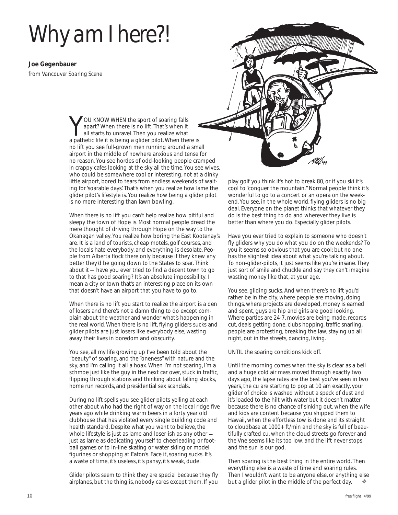# *Why am I here?!*

**Joe Gegenbauer**

from *Vancouver Soaring Scene*

YOU KNOW WHEN the sport of soaring falls<br>apart? When there is no lift. That's when it<br>all starts to unravel. Then you realize what<br>a pathetic life it is being a glider pilot When the apart? When there is no lift. That's when it all starts to unravel. Then you realize what a pathetic life it is being a glider pilot. When there is no lift you see full-grown men running around a small airport in the middle of nowhere anxious and tense for no reason. You see hordes of odd-looking people cramped in crappy cafes looking at the sky all the time. You see wives, who could be somewhere cool or interesting, not at a dinky little airport, bored to tears from endless weekends of waiting for 'soarable days'. That's when you realize how lame the glider pilot's lifestyle is. You realize how being a glider pilot is no more interesting than lawn bowling.

When there is no lift you can't help realize how pitiful and sleepy the town of Hope is. Most normal people dread the mere thought of driving through Hope on the way to the Okanagan valley. You realize how boring the East Kootenay's are. It is a land of tourists, cheap motels, golf courses, and the locals hate everybody, and everything is desolate. People from Alberta flock there only because if they knew any better they'd be going down to the States to soar. Think about it — have you ever tried to find a decent town to go to that has good soaring? It's an absolute impossibility. I mean a city or town that's an interesting place on its own that doesn't have an airport that you have to go to.

When there is no lift you start to realize the airport is a den of losers and there's not a damn thing to do except complain about the weather and wonder what's happening in the real world. When there is no lift, flying gliders sucks and glider pilots are just losers like everybody else, wasting away their lives in boredom and obscurity.

You see, all my life growing up I've been told about the "beauty" of soaring, and the "oneness" with nature and the sky, and I'm calling it all a hoax. When I'm not soaring, I'm a schmoe just like the guy in the next car over, stuck in traffic, flipping through stations and thinking about falling stocks, home run records, and presidential sex scandals.

During no lift spells you see glider pilots yelling at each other about who had the right of way on the local ridge five years ago while drinking warm beers in a forty year old clubhouse that has violated every single building code and health standard. Despite what you want to believe, the whole lifestyle is just as lame and loser-ish as any other just as lame as dedicating yourself to cheerleading or football games or to in-line skating or water skiing or model figurines or shopping at Eaton's. Face it, soaring sucks. It's a waste of time, it's useless, it's pansy, it's weak, dude.

Glider pilots seem to think they are special because they fly airplanes, but the thing is, nobody cares except them. If you



play golf you think it's hot to break 80, or if you ski it's cool to "conquer the mountain." Normal people think it's wonderful to go to a concert or an opera on the weekend. You see, in the whole world, flying gliders is no big deal. Everyone on the planet thinks that whatever they do is the best thing to do and wherever they live is better than where you do. Especially glider pilots.

Have you ever tried to explain to someone who doesn't fly gliders why you do what you do on the weekends? To you it seems so obvious that you are cool; but no one has the slightest idea about what you're talking about. To non-glider-pilots, it just seems like you're insane. They just sort of smile and chuckle and say they can't imagine wasting money like that, at your age.

You see, gliding sucks. And when there's no lift you'd rather be in the city, where people are moving, doing things, where projects are developed, money is earned and spent, guys are hip and girls are good looking. Where parties are 24-7, movies are being made, records cut, deals getting done, clubs hopping, traffic snarling, people are protesting, breaking the law, staying up all night, out in the streets, dancing, living.

#### UNTIL the soaring conditions kick off.

Until the morning comes when the sky is clear as a bell and a huge cold air mass moved through exactly two days ago, the lapse rates are the best you've seen in two years, the cu are starting to pop at 10 am exactly, your glider of choice is washed without a speck of dust and it's loaded to the hilt with water but it doesn't matter because there is no chance of sinking out, when the wife and kids are content because you shipped them to Hawaii, when the effortless tow is done and its straight to cloudbase at 1000+ ft/min and the sky is full of beautifully crafted cu, when the cloud streets go forever and the Vne seems like its too low, and the lift never stops and the sun is our god.

Then soaring is the best thing in the entire world. Then everything else is a waste of time and soaring rules. Then I wouldn't want to be anyone else, or anything else but a glider pilot in the middle of the perfect day. ❖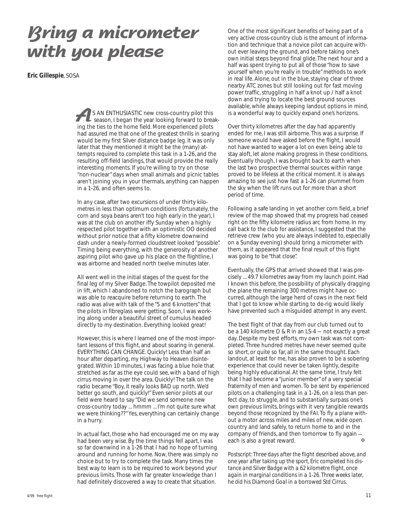## **Bring a micrometer with you please**

*Eric Gillespie*, SOSA

S AN ENTHUSIASTIC new cross-country pilot this season, I began the year looking forward to break-**EXECUTE IS AN ENTHUSIASTIC** new cross-country pilot this season, I began the year looking forward to breaking the ties to the home field. More experienced pilots had assured me that one of the greatest thrills in soaring would be my first Silver distance badge leg. It was only later that they mentioned it might be the (many) attempts required to complete this task in a 1-26, and the resulting off-field landings, that would provide the *really* interesting moments. If you're willing to try on those "non-nuclear" days when small animals and picnic tables aren't joining you in your thermals, anything can happen in a 1-26, and often seems to.

In any case, after two excursions of under thirty kilometres in less than optimum conditions (fortunately, the corn and soya beans aren't too high early in the year), I was at the club on another iffy Sunday when a highly respected pilot together with an optimistic OO decided without prior notice that a fifty kilometre downwind dash under a newly-formed cloudstreet looked "possible". Timing being everything, with the generosity of another aspiring pilot who gave up his place on the flightline, I was airborne and headed north twelve minutes later.

All went well in the initial stages of the quest for the final leg of my Silver Badge. The towpilot deposited me in lift, which I abandoned to notch the barograph but was able to reacquire before returning to earth. The radio was alive with talk of the "5 and 6 knotters" that the pilots in fibreglass were getting. Soon, I was working along under a beautiful street of cumulus headed directly to my destination. Everything looked great!

However, this is where I learned one of the most important lessons of this flight, and about soaring in general. EVERYTHING CAN CHANGE. Quickly! Less than half an hour after departing, my Highway to Heaven disintegrated. Within 10 minutes, I was facing a blue hole that stretched as far as the eye could see, with a band of high cirrus moving in over the area. Quickly! The talk on the radio became "Boy, it really looks BAD up north. We'd better go south, and quickly!" Even senior pilots at our field were heard to say "Did we send someone new cross-country today ... hmmm ... I'm not quite sure what we were thinking??" Yes, everything can certainly change in a hurry.

In actual fact, those who had encouraged me on my way had been very wise. By the time things fell apart, I was so far downwind in a 1-26 that I had no hope of turning around and running for home. Now, there was simply no choice but to try to complete the task. Many times the best way to learn is to be required to work beyond your previous limits. Those with far greater knowledge than I had definitely discovered a way to create that situation.

One of the most significant benefits of being part of a very active cross-country club is the amount of information and technique that a novice pilot can acquire without ever leaving the ground, and before taking one's own initial steps beyond final glide. The next hour and a half was spent trying to put all of those "how to save yourself when you're really in trouble" methods to work in real life. Alone, out in the blue, staying clear of three nearby ATC zones but still looking out for fast moving power traffic, struggling in half a knot up / half a knot down and trying to locate the best ground sources available, while always keeping landout options in mind, is a wonderful way to quickly expand one's horizons.

Over thirty kilometres after the day had apparently ended for me, I was still airborne. This was a surprise. If someone would have asked before the flight, I would not have wanted to wager a lot on even being able to stay aloft, let alone making progress in these conditions. Eventually though, I was brought back to earth when the last two prospective thermal sources within range proved to be lifeless at the critical moment. It is always amazing to see just how fast a 1-26 can plummet from the sky when the lift runs out for more than a short period of time.

Following a safe landing in yet another corn field, a brief review of the map showed that my progress had ceased right on the fifty kilometre radius arc from home. In my call back to the club for assistance, I suggested that the retrieve crew (who you are always indebted to, especially on a Sunday evening) should bring a micrometer with them, as it appeared that the final result of this flight was going to be "that close".

Eventually, the GPS that arrived showed that I was precisely ... 49.7 kilometres away from my launch point. Had I known this before, the possibility of physically dragging the plane the remaining 300 metres might have occurred, although the large herd of cows in the next field that I got to know while starting to de-rig would likely have prevented such a misguided attempt in any event.

The best flight of that day from our club turned out to be a 140 kilometre O & R in an LS-4 — not exactly a great day. Despite my best efforts, my own task was not completed. Three hundred metres have never seemed quite so short, or quite so far, all in the same thought. Each landout, at least for me, has also proven to be a sobering experience that could never be taken lightly, despite being highly educational. At the same time, I truly felt that I had become a "junior member" of a very special fraternity of men and women. To be sent by experienced pilots on a challenging task in a 1-26, on a less than perfect day, to struggle, and to substantially surpass one's own previous limits, brings with it very tangible rewards beyond those recognized by the FAI. To fly a plane without a motor across miles and miles of new, wide open country and land safely, to return home to and in the company of friends, and then tomorrow to fly again each is also a great reward. ❖

*Postscript: Three days after the flight described above, and one year after taking up the sport, Eric completed his distance and Silver Badge with a 62 kilometre flight, once again in marginal conditions in a 1-26. Three weeks later, he did his Diamond Goal in a borrowed Std Cirrus.*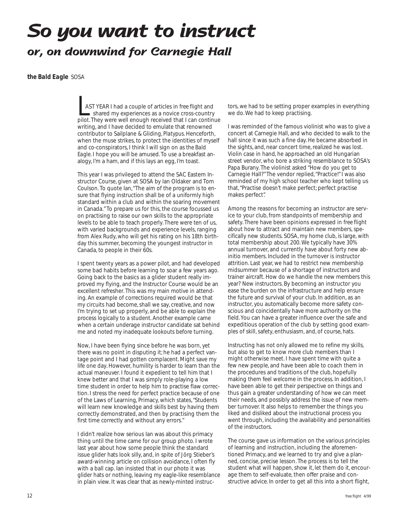## **So you want to instruct or, on downwind for Carnegie Hall**

#### *the Bald Eagle* SOSA

LAST YEAR I had a couple of articles in *free flight* and shared my experiences as a novice cross-country pilot. They were well enough received that I can continue writing, and I have decided to emulate that renowned contributor to Sailplane & Gliding, *Platypus*. Henceforth, when the muse strikes, to protect the identities of myself and co-conspirators, I think I will sign on as *the Bald Eagle*. I hope you will be amused. To use a breakfast analogy, I'm a ham, and if this lays an egg, I'm toast.

This year I was privileged to attend the SAC Eastern Instructor Course, given at SOSA by Ian Oldaker and Tom Coulson. To quote Ian, "The aim of the program is to ensure that flying instruction shall be of a uniformly high standard within a club and within the soaring movement in Canada." To prepare us for this, the course focussed us on practising to raise our own skills to the appropriate levels to be able to teach properly. There were ten of us, with varied backgrounds and experience levels, ranging from Alex Rudy, who will get his rating on his 18th birthday this summer, becoming the youngest instructor in Canada, to people in their 60s.

I spent twenty years as a power pilot, and had developed some bad habits before learning to soar a few years ago. Going back to the basics as a glider student really improved my flying, and the Instructor Course would be an excellent refresher. This was my main motive in attending. An example of corrections required would be that my circuits had become, shall we say, creative, and now I'm trying to set up properly, and be able to explain the process logically to a student. Another example came when a certain underage instructor candidate sat behind me and noted my inadequate lookouts before turning.

Now, I have been flying since before he was born, yet there was no point in disputing it; he had a perfect vantage point and I had gotten complacent. Might save my life one day. However, humility is harder to learn than the actual maneuver. I found it expedient to tell him that I knew better and that I was simply role-playing a low time student in order to help him to practise flaw correction. I stress the need for perfect practice because of one of the Laws of Learning, Primacy, which states, "Students will learn new knowledge and skills best by having them correctly demonstrated, and then by practising them the first time correctly and without any errors."

I didn't realize how serious Ian was about this primacy thing until the time came for our group photo. I wrote last year about how some people think the standard issue glider hats look silly, and, in spite of Jörg Stieber's award-winning article on collision avoidance, I often fly with a ball cap. Ian insisted that in our photo it was glider hats or nothing, leaving my eagle-like resemblance in plain view. It was clear that as newly-minted instruc-

tors, we had to be setting proper examples in everything we do. We had to keep practising.

I was reminded of the famous violinist who was to give a concert at Carnegie Hall, and who decided to walk to the hall since it was such a fine day. He became absorbed in the sights, and, near concert time, realized he was lost. Violin case in hand, he approached an old Hungarian street vendor, who bore a striking resemblance to SOSA's Papa Burany. The violinist asked "How do you get to Carnegie Hall?" The vendor replied, "Practice!" I was also reminded of my high school teacher who kept telling us that, "Practise doesn't make perfect; perfect practise makes perfect".

Among the reasons for becoming an instructor are service to your club, from standpoints of membership and safety. There have been opinions expressed in *free flight* about how to attract and maintain new members, specifically new students. SOSA, my home club, is large, with total membership about 200. We typically have 30% annual turnover, and currently have about forty new abinitio members. Included in the turnover is instructor attrition. Last year, we had to restrict new membership midsummer because of a shortage of instructors and trainer aircraft. How do we handle the new members this year? New instructors. By becoming an instructor you ease the burden on the infrastructure and help ensure the future and survival of your club. In addition, as an instructor, you automatically become more safety conscious and coincidentally have more authority on the field. You can have a greater influence over the safe and expeditious operation of the club by setting good examples of skill, safety, enthusiasm, and, of course, hats.

Instructing has not only allowed me to refine my skills, but also to get to know more club members than I might otherwise meet. I have spent time with quite a few new people, and have been able to coach them in the procedures and traditions of the club, hopefully making them feel welcome in the process. In addition, I have been able to get their perspective on things and thus gain a greater understanding of how we can meet their needs, and possibly address the issue of new member turnover. It also helps to remember the things you liked and disliked about the instructional process you went through, including the availability and personalities of the instructors.

The course gave us information on the various principles of learning and instruction, including the aforementioned Primacy, and we learned to try and give a planned, concise, precise lesson. The process is to tell the student what will happen, show it, let them do it, encourage them to self-evaluate, then offer praise and constructive advice. In order to get all this into a short flight,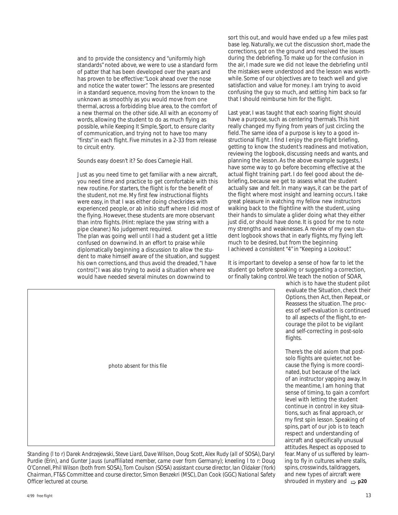and to provide the consistency and "uniformly high standards" noted above, we were to use a standard form of patter that has been developed over the years and has proven to be effective: "Look ahead over the nose and notice the water tower". The lessons are presented in a standard sequence, moving from the known to the unknown as smoothly as you would move from one thermal, across a forbidding blue area, to the comfort of a new thermal on the other side. All with an economy of words, allowing the student to do as much flying as possible, while *Keeping It Simple, Sport*, to ensure clarity of communication, and trying not to have too many "firsts" in each flight. Five minutes in a 2-33 from release to circuit entry.

Sounds easy doesn't it? So does Carnegie Hall.

Just as you need time to get familiar with a new aircraft, you need time and practice to get comfortable with this new routine. For starters, the flight is for the benefit of the student, not me. My first few instructional flights were easy, in that I was either doing checkrides with experienced people, or ab initio stuff where I did most of the flying. However, these students are more observant than intro flights. (Hint: replace the yaw string with a pipe cleaner.) No judgement required. The plan was going well until I had a student get a little confused on downwind. In an effort to praise while diplomatically beginning a discussion to allow the student to make himself aware of the situation, and suggest his own corrections, and thus avoid the dreaded, "I have control", I was also trying to avoid a situation where we would have needed several minutes on downwind to

sort this out, and would have ended up a few miles past base leg. Naturally, we cut the discussion short, made the corrections, got on the ground and resolved the issues during the debriefing. To make up for the confusion in the air, I made sure we did not leave the debriefing until the mistakes were understood and the lesson was worthwhile. Some of our objectives are to teach well and give satisfaction and value for money. I am trying to avoid confusing the guy so much, and setting him back so far that I should reimburse him for the flight.

Last year, I was taught that each soaring flight should have a purpose, such as centering thermals. This hint really changed my flying from years of just circling the field. The same idea of a purpose is key to a good instructional flight. I find I enjoy the pre-flight briefing, getting to know the student's readiness and motivation, reviewing the logbook, discussing needs and wants, and planning the lesson. As the above example suggests, I have some way to go before becoming effective at the actual flight training part. I do feel good about the debriefing, because we get to assess what the student actually saw and felt. In many ways, it can be the part of the flight where most insight and learning occurs. I take great pleasure in watching my fellow new instructors walking back to the flightline with the student, using their hands to simulate a glider doing what they either just did, or should have done. It is good for me to note my strengths and weaknesses. A review of my own student logbook shows that in early flights, my flying left much to be desired, but from the beginning I achieved a consistent "4" in "Keeping a Lookout".

It is important to develop a sense of how far to let the student go before speaking or suggesting a correction. or finally taking control. We teach the notion of SOAR,

> which is to have the student pilot evaluate the Situation, check their Options, then Act, then Repeat, or Reassess the situation. The process of self-evaluation is continued to all aspects of the flight, to encourage the pilot to be vigilant and self-correcting in post-solo flights.

There's the old axiom that postsolo flights are quieter, not because the flying is more coordinated, but because of the lack of an instructor yapping away. In the meantime, I am honing that sense of timing, to gain a comfort level with letting the student continue in control in key situations, such as final approach, or my first spin lesson. Speaking of spins, part of our job is to teach respect and understanding of aircraft and specifically unusual attitudes. Respect as opposed to fear. Many of us suffered by learning to fly in cultures where stalls, spins, crosswinds, taildraggers, and new types of aircraft were

photo absent for this file

shrouded in mystery and *Officer lectured at course.* ➯ **p20** *Standing (l to r) Darek Andrzejewski, Steve Liard, Dave Wilson, Doug Scott, Alex Rudy (all of SOSA), Daryl Purdie (Erin), and Gunter Jauss (unaffiliated member, came over from Germany); kneeling l to r: Doug O'Connell, Phil Wilson (both from SOSA), Tom Coulson (SOSA) assistant course director, Ian Oldaker (York) Chairman, FT&S Committee and course director, Simon Benzekri (MSC), Dan Cook (GGC) National Safety*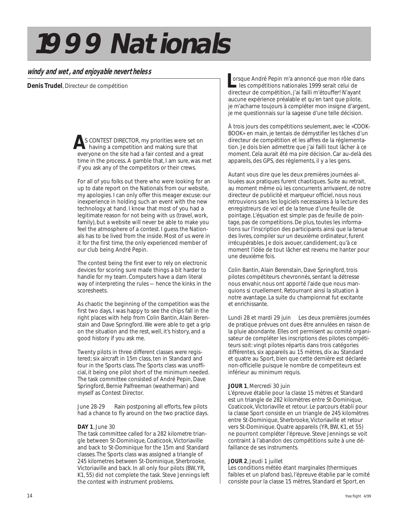# *1999 Nationals*

#### *windy and wet, and enjoyable nevertheless*

*Denis Trudel*, Directeur de compétition

S CONTEST DIRECTOR, my priorities were set on having a competition and making sure that **A** everyone on the site had a fair contest and a great time in the process. A gamble that, I am sure, was met if you ask any of the competitors or their crews.

For all of you folks out there who were Iooking for an up to date report on the Nationals from our website, my apologies. I can only offer this meager excuse: our inexperience in holding such an event with the new technology at hand. I know that most of you had a Iegitimate reason for not being with us (travel, work, family), but a website will never be able to make you feel the atmosphere of a contest. I guess the Nationals has to be lived from the inside. Most of us were in it for the first time, the only experienced member of our club being André Pepin.

The contest being the first ever to rely on electronic devices for scoring sure made things a bit harder to handle for my team. Computers have a darn literal way of interpreting the rules — hence the kinks in the scoresheets.

As chaotic the beginning of the competition was the first two days, I was happy to see the chips fall in the right places with help from Colin Bantin, Alain Berenstain and Dave Springford. We were able to get a grip on the situation and the rest, well, it's history, and a good history if you ask me.

Twenty pilots in three different classes were registered; six aircraft in 15m class, ten in Standard and four in the Sports class. The Sports class was unofficial, it being one pilot short of the minimum needed. The task committee consisted of André Pepin, Dave Springford, Bernie Palfreeman (weatherman) and myself as Contest Director.

June 28-29 Rain postponing all efforts, few pilots had a chance to fly around on the two practice days.

#### **DAY 1**, June 30

The task committee called for a 282 kilometre triangle between St-Dominique, Coaticook, Victoriaville and back to St-Dominique for the 15m and Standard classes. The Sports class was assigned a triangle of 245 kilometres between St-Dominique, Sherbrooke, Victoriaville and back. In all only four pilots (BW, YR, K1, 55) did not complete the task. Steve Jennings left the contest with instrument problems.

orsque André Pepin m'a annoncé que mon rôle dans<br>
Les compétitions nationales 1999 serait celui de<br>
directeur de compétition distribution de la compétition les compétitions nationales 1999 serait celui de directeur de compétition, j'ai failli m'étouffer! N'ayant aucune expérience préalable et qu'en tant que pilote, je m'acharne toujours à compléter mon insigne d'argent, je me questionnais sur la sagesse d'une telle décision.

À trois jours des compétitions seulement, avec le «COOK-BOOK» en main, je tentais de démystifier les tâches d'un directeur de compétition et les affres de la réglementation. Je dois bien admettre que j'ai failli tout lâcher à ce moment. Cela aurait été ma pire décision. Car au-delà des appareils, des GPS, des règlements, il y a les gens.

Autant vous dire que les deux premières journées allouées aux pratiques furent chaotiques. Suite au retrait, au moment même où les concurrents arrivaient, de notre directeur de publicité et marqueur officiel, nous nous retrouvions sans les logiciels necessaires à la lecture des enregistreurs de vol et de la tenue d'une feuille de pointage. L'équation est simple: pas de feuille de pointage, pas de competitions. De plus, toutes les informations sur l'inscription des participants ainsi que la tenue des livres, compiler sur un deuxième ordinateur, furent irrécupérables. Je dois avouer, candidement, qu'à ce moment l'idée de tout lâcher est revenu me hanter pour une deuxième fois.

Colin Bantin, Alain Berenstain, Dave Springford, trois pilotes compétiteurs chevronnés, sentant la détresse nous envahir, nous ont apporté l'aide que nous manquions si cruellement. Retournant ainsi la situation à notre avantage. La suite du championnat fut excitante et enrichissante.

Lundi 28 et mardi 29 juin Les deux premières journées de pratique prévues ont dues être annulées en raison de la pluie abondante. Elles ont permisent au comité organisateur de compléter les inscriptions des pilotes compétiteurs soit: vingt pilotes répartis dans trois catégories différentes, six appareils au 15 mètres, dix au Standard et quatre au Sport, bien que cette dernière est déclarée non-officielle puisque le nombre de competiteurs est inférieur au minimum requis.

#### **JOUR 1**, Mercredi 30 juin

L'épreuve établie pour la classe 15 mètres et Standard est un triangle de 282 kilomètres entre St-Dominique, Coaticook, Victoriaville et retour. Le parcours établi pour la classe Sport consiste en un triangle de 245 kilomètres entre St-Dominique, Sherbrooke, Victoriaville et retour vers St-Dominique. Quatre appareils (YR, BW, K1, et 55) ne pourront compléter l'épreuve. Steve Jennings se voit contraint à l'abandon des compétitions suite à une défaillance de ses instruments.

#### **JOUR 2**, Jeudi 1 juillet

Les conditions météo étant marginales (thermiques faibles et un plafond bas), l'épreuve établie par le comité consiste pour la classe 15 mètres, Standard et Sport, en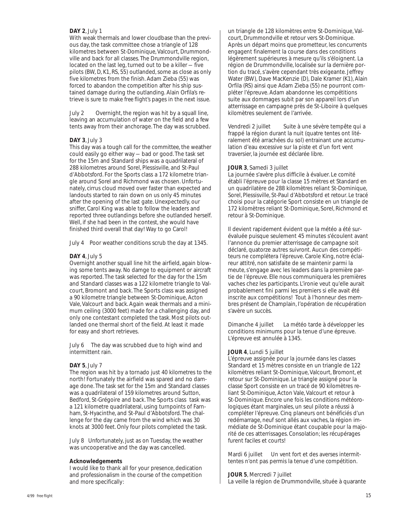#### **DAY 2**, July 1

With weak thermals and lower cloudbase than the previous day, the task committee chose a triangle of 128 kilometres between St-Dominique, Valcourt, Drummondville and back for all classes. The Drummondville region, located on the last leg, turned out to be a killer — five pilots (BW, D, K1, RS, 55) outlanded, some as close as only five kilometres from the finish. Adam Zieba (55) was forced to abandon the competition after his ship sustained damage during the outlanding. Alain Orfila's retrieve is sure to make *free flight's* pages in the next issue.

July 2 Overnight, the region was hit by a squall line, leaving an accumulation of water on the field and a few tents away from their anchorage. The day was scrubbed.

#### **DAY 3**, July 3

This day was a tough call for the committee, the weather could easily go either way — bad or good. The task set for the 15m and Standard ships was a quadrilateral of 288 kilometres around Sorel, Plessisville, and St-Paul d'Abbotsford. For the Sports class a 172 kilometre triangle around Sorel and Richmond was chosen. Unfortunately, cirrus cloud moved over faster than expected and landouts started to rain down on us only 45 minutes after the opening of the last gate. Unexpectedly, our sniffer, Carol King was able to follow the leaders and reported three outlandings before she outlanded herself. Well, if she had been in the contest, she would have finished third overall that day! Way to go Carol!

July 4 Poor weather conditions scrub the day at 1345.

#### **DAY 4**, July 5

Overnight another squall line hit the airfield, again blowing some tents away. No damge to equipment or aircraft was reported. The task selected for the day for the 15m and Standard classes was a 122 kilometre triangle to Valcourt, Bromont and back. The Sports class was assigned a 90 kilometre triangle between St-Dominique, Acton Vale, Valcourt and back. Again weak thermals and a minimum ceiling (3000 feet) made for a challenging day, and only one contestant completed the task. Most pilots outlanded one thermal short of the field. At least it made for easy and short retrieves.

July 6 The day was scrubbed due to high wind and intermittent rain.

#### **DAY 5**, July 7

The region was hit by a tornado just 40 kilometres to the north! Fortunately the airfield was spared and no damage done. The task set for the 15m and Standard classes was a quadrilateral of 159 kilometres around Sutton, Bedford, St-Grégoire and back. The Sports class task was a 121 kilometre quadrilateral, using turnpoints of Farnham, St-Hyacinthe, and St-Paul d'Abbotsford. The challenge for the day came from the wind which was 30 knots at 3000 feet. Only four pilots completed the task.

July 8 Unfortunately, just as on Tuesday, the weather was uncooperative and the day was cancelled.

#### **Acknowledgements**

I would like to thank all for your presence, dedication and professionalism in the course of the competition and more specifically:

un triangle de 128 kilomètres entre St-Dominique, Valcourt, Drummondville et retour vers St-Dominique. Après un départ moins que prometteur, les concurrents engagent finalement la course dans des conditions légèrement supérieures à mesure qu'ils s'éloignent. La région de Drummondville, localisée sur la dernière portion du tracé, s'avère cependant très exigeante. Jeffrey Water (BW), Dave MacKenzie (D), Dale Kramer (K1), Alain Orfila (RS) ainsi que Adam Zieba (55) ne pourront compléter l'épreuve. Adam abandonne les compétitions suite aux dommages subit par son appareil lors d'un atterrissage en campagne près de St-Liboire à quelques kilomètres seulement de l'arrivée.

Vendredi 2 juillet Suite à une sévère tempête qui a frappé la région durant la nuit (quatre tentes ont litéralement été arrachées du sol) entrainant une accumulation d'eau excessive sur la piste et d'un fort vent traversier, la journée est déclarée libre.

#### **JOUR 3**, Samedi 3 juillet

La journée s'avère plus difficile à évaluer. Le comité établi l'épreuve pour la classe 15 mètres et Standard en un quadrilatère de 288 kilomètres reliant St-Dominique, Sorel, Plessisville, St-Paul d'Abbotsford et retour. Le tracé choisi pour la catégorie Sport consiste en un triangle de 172 kilomètres reliant St-Dominique, Sorel, Richmond et retour à St-Dominique.

Il devient rapidement évident que la météo a été surévaluée puisque seulement 45 minutes s'écoulent avant l'annonce du premier atterrissage de campagne soit déclaré, quatorze autres suivront. Aucun des compétiteurs ne complétera l'épreuve. Carole King, notre éclaireur attitré, non satisfaite de se maintenir parmi la meute, s'engage avec les leaders dans la première partie de l'épreuve. Elle nous communiquera les premières vaches chez les participants. L'ironie veut qu'elle aurait probablement fini parmi les premiers si elle avait été inscrite aux compétitions! Tout à l'honneur des membres présent de Champlain, I'opération de récupération s'avère un succès.

Dimanche 4 juillet La météo tarde à développer les conditions minimums pour la tenue d'une épreuve. L'épreuve est annulée à 1345.

#### **JOUR 4**, Lundi 5 juillet

L'épreuve assignée pour la journée dans les classes Standard et 15 mètres consiste en un triangle de 122 kilomètres reliant St-Dominique, Valcourt, Bromont, et retour sur St-Dominique. Le triangle assigné pour la classe Sport consiste en un tracé de 90 kilomètres reliant St-Dominique, Acton Vale, Valcourt et retour à St-Dominique. Encore une fois les conditions météorologiques étant marginales, un seul pilote a réussi à compléter l'épreuve. Cinq planeurs ont bénéficiés d'un redémarrage, neuf sont allés aux vaches, la région immédiate de St-Dominique étant coupable pour la majorité de ces atterrissages. Consolation; les récupérages furent faciles et courts!

Mardi 6 juillet Un vent fort et des averses intermittentes n'ont pas permis la tenue d'une compétition.

#### **JOUR 5**, Mercredi 7 juillet

La veille la région de Drummondville, située à quarante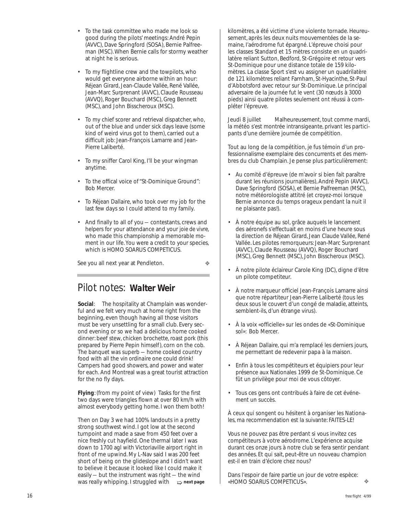- To the task committee who made me look so good during the pilots' meetings: André Pepin (AVVC), Dave Springford (SOSA), Bernie Palfreeman (MSC). When Bernie calls for stormy weather at night he is serious.
- To my flightline crew and the towpilots, who would get everyone airborne within an hour: Réjean Girard, Jean-Claude Vallée, René Vallée, Jean-Marc Surprenant (AVVC), Claude Rousseau (AVVQ), Roger Bouchard (MSC), Greg Bennett (MSC), and John Bisscheroux (MSC).
- To my chief scorer and retrieval dispatcher, who, out of the blue and under sick days leave (some kind of weird virus got to them), carried out a difficult job: Jean-François Lamarre and Jean-Pierre Laliberté.
- To my sniffer Carol King, I'll be your wingman anytime.
- To the offical voice of "St-Dominique Ground": Bob Mercer.
- To Réjean Dallaire, who took over my job for the last few days so I could attend to my family.
- And finally to all of you contestants, crews and helpers for your attendance and your *joie de vivre,* who made this championship a memorable moment in our life. You were a credit to your species, which is HOMO SOARUS COMPETICUS.

See you all next year at Pendleton.

❖

#### Pilot notes: *Walter Weir*

**Social**: The hospitality at Champlain was wonderful and we felt very much at home right from the beginning, even though having all those visitors must be very unsettling for a small club. Every second evening or so we had a delicious home cooked dinner: beef stew, chicken brochette, roast pork (this prepared by Pierre Pepin himself), corn on the cob. The banquet was superb — home cooked country food with all the *vin ordinaire* one could drink! Campers had good showers, and power and water for each. And Montreal was a great tourist attraction for the no fly days.

**Flying**: (from my point of view) Tasks for the first two days were triangles flown at over 80 km/h with almost everybody getting home. I won them both!

Then on Day 3 we had 100% landouts in a pretty strong southwest wind. I got low at the second turnpoint and made a save from 450 feet over a nice freshly cut hayfield. One thermal later I was down to 1700 agl with Victoriaville airport right in front of me upwind. My L-Nav said I was 200 feet short of being on the glideslope and I didn't want to believe it because it looked like I could make it easily — but the instrument was right — the wind was really whipping. I struggled with  $\Rightarrow$  next page kilomètres, a été victime d'une violente tornade. Heureusement, après les deux nuits mouvementées de la semaine, I'aérodrome fut épargné. L'épreuve choisi pour les classes Standard et 15 mètres consiste en un quadrilatère reliant Sutton, Bedford, St-Grégoire et retour vers St-Dominique pour une distance totale de 159 kilomètres. La classe Sport s'est vu assigner un quadrilatère de 121 kilomètres reliant Farnham, St-Hyacinthe, St-Paul d'Abbotsford avec retour sur St-Dominique. Le principal adversaire de la journée fut le vent (30 nœuds à 3000 pieds) ainsi quatre pilotes seulement ont réussi à compléter l'épreuve.

Jeudi 8 juillet Malheureusement, tout comme mardi, la météo s'est montrée intransigeante, privant les participants d'une dernière journée de compétition.

Tout au long de la compétition, je fus témoin d'un professionnalisme exemplaire des concurrents et des membres du club Champlain. Je pense plus particulièrement:

- Au comité d'épreuve (de m'avoir si bien fait paraître durant les réunions journalières), André Pepin (AVVC), Dave Springford (SOSA), et Bernie Palfreeman (MSC), notre météorologiste attitré (et croyez-moi lorsque Bernie annonce du temps orageux pendant la nuit il ne plaisante pas!).
- À notre équipe au sol, grâce auquels le lancement des aéronefs s'effectuait en moins d'une heure sous la direction de Réjean Girard, Jean Claude Vallée, René Vallée. Les pilotes remorqueurs: Jean-Marc Surprenant (AVVC), Claude Rousseau (AVVQ), Roger Bouchard (MSC), Greg Bennett (MSC), John Bisscheroux (MSC).
- À notre pilote éclaireur Carole King (DC), digne d'être un pilote competiteur.
- À notre marqueur officiel Jean-François Lamarre ainsi que notre répartiteur Jean-Pierre Laliberté (tous les deux sous le couvert d'un congé de maladie, atteints, semblent-ils, d'un étrange virus).
- À la voix «officielle» sur les ondes de «St-Dominique sol»: Bob Mercer.
- À Réjean Dallaire, qui m'a remplacé les derniers jours, me permettant de redevenir papa à la maison.
- Enfin à tous les compétiteurs et équipiers pour leur présence aux Nationales 1999 de St-Dominique. Ce fût un privilège pour moi de vous côtoyer.
- Tous ces gens ont contribués à faire de cet événement un succès.

À ceux qui songent ou hésitent à organiser les Nationales, ma recommendation est la suivante: FAITES-LE!

Vous ne pouvez pas être perdant si vous invitez ces compétiteurs à votre aérodrome. L'expérience acquise durant ces onze jours à notre club se fera sentir pendant des années. Et qui sait, peut-être un nouveau champion est-il en train d'éclore chez nous?

Dans l'espoir de faire partie un jour de votre espèce:  $\Rightarrow$  next page  $\qquad$  | «HOMO SOARUS COMPETICUS».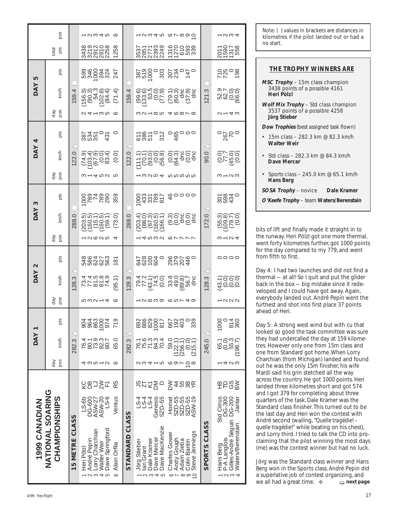| 4/99 free flight | ZANADIANTI                                                                                                                                                                                                                                                                                                                                                                                                                                                                                                                                                                                                                                                     |                                                                                                                                                                                     |                                                                                      | <b>DAY</b>                                                                                                                             |                                                              |                                                                                            | <b>DAY</b>                                                                                                                                                                                  | N                                                                |                                                                                                                                                   | <b>DAY</b>                                                        | S                                                                                     |                                                     | <b>DAY</b>                                        | 4                                                                                                          |                                                | <b>DAY</b>                                                                           | rU                                                        |                                                                                                                |                                                                                                          |
|------------------|----------------------------------------------------------------------------------------------------------------------------------------------------------------------------------------------------------------------------------------------------------------------------------------------------------------------------------------------------------------------------------------------------------------------------------------------------------------------------------------------------------------------------------------------------------------------------------------------------------------------------------------------------------------|-------------------------------------------------------------------------------------------------------------------------------------------------------------------------------------|--------------------------------------------------------------------------------------|----------------------------------------------------------------------------------------------------------------------------------------|--------------------------------------------------------------|--------------------------------------------------------------------------------------------|---------------------------------------------------------------------------------------------------------------------------------------------------------------------------------------------|------------------------------------------------------------------|---------------------------------------------------------------------------------------------------------------------------------------------------|-------------------------------------------------------------------|---------------------------------------------------------------------------------------|-----------------------------------------------------|---------------------------------------------------|------------------------------------------------------------------------------------------------------------|------------------------------------------------|--------------------------------------------------------------------------------------|-----------------------------------------------------------|----------------------------------------------------------------------------------------------------------------|----------------------------------------------------------------------------------------------------------|
|                  | ပ<br>NATIONAL SOARIN<br><b>CHAMPIONSHIPS</b>                                                                                                                                                                                                                                                                                                                                                                                                                                                                                                                                                                                                                   |                                                                                                                                                                                     | pos<br>Фp                                                                            | km/h                                                                                                                                   | pts                                                          | aay<br>pos                                                                                 | km/h                                                                                                                                                                                        | pts                                                              | cod<br>Nep                                                                                                                                        | km/h                                                              | pts                                                                                   | cod<br>Nap                                          | km/h                                              | pts                                                                                                        | cod<br>Apos                                    | km/h                                                                                 | pts                                                       | pts<br>total                                                                                                   | pos                                                                                                      |
|                  | CLASS<br>5 METRE<br>$\blacksquare$                                                                                                                                                                                                                                                                                                                                                                                                                                                                                                                                                                                                                             |                                                                                                                                                                                     |                                                                                      | $\lhd$<br>3<br>282.                                                                                                                    |                                                              |                                                                                            | $\operatorname{\lhd}$<br>3<br>28.                                                                                                                                                           |                                                                  |                                                                                                                                                   | $\circ$<br>288.                                                   |                                                                                       |                                                     | $\circ$<br>22.                                    | $\operatorname{\lhd}$                                                                                      |                                                | 4<br>59.                                                                             |                                                           |                                                                                                                |                                                                                                          |
|                  | $S-6b$<br>DG-600<br>ASW-27<br>ASW-20<br>$-5-6$<br>Ventus<br>Dave Springford<br>Charchian<br>Heri Pölzl<br>André Pepin<br>Walter Weir<br>Alain Orfila<br>Lorry<br>$\bullet$<br>2345                                                                                                                                                                                                                                                                                                                                                                                                                                                                             | RS<br><b>SCR</b><br>그중디                                                                                                                                                             | 43512 6                                                                              | $\circ$<br>65.<br>76.                                                                                                                  | <b>28004</b><br>28004<br>$\circ$<br>904<br>$\overline{7}$    | mwa-40                                                                                     | $\vec{a}$ $\vec{a}$ in $\vec{\omega}$ $\vec{\omega}$<br>5.1)<br>$\ddot{=}$<br>$\mathcal{O} \cap \mathcal{O} \subset \mathcal{O}$<br>$\Gamma \cap \omega \omega \cap$<br>$\sigma$            | 580473<br>580473<br>58047<br>$\infty$                            | A GUNA 4                                                                                                                                          | $\widehat{\circ}$<br>يغينيون<br>(203, 000, 000)<br>$\infty$<br>L, | 000787<br>002787<br>$\circ$<br>ம்<br>RN M                                             | $W - 4$ D $M$ D                                     | 6<br>ひせびつせ<br>700000<br>$\circ$                   | <b>22502</b><br>$\circ$<br>m m m<br>$\overline{}$                                                          | $Q = 0$                                        | $\frac{4.3}{0.91}$<br>(71.4)<br><b>126.74</b><br>702.                                | Ru0044<br>040044<br>04044 7                               | $\infty \circ \sim \circ \infty$<br>$\infty$<br>377200<br>LO<br>$\bar{\sim}$<br><b>MMUNU</b><br>$\overline{ }$ | $ \sim$ $\sim$ $+$ $\sim$ $\sim$                                                                         |
|                  | STANDARD CLASS                                                                                                                                                                                                                                                                                                                                                                                                                                                                                                                                                                                                                                                 |                                                                                                                                                                                     |                                                                                      | $\triangleleft$<br>$\infty$<br>282.                                                                                                    |                                                              |                                                                                            | $\triangleleft$<br>$\infty$<br>28.                                                                                                                                                          |                                                                  |                                                                                                                                                   | $\circlearrowright$<br>88.<br>$\sim$                              |                                                                                       |                                                     | $\circ$<br>22.                                    | $\operatorname{\lhd}$                                                                                      |                                                | 4<br>59.                                                                             |                                                           |                                                                                                                |                                                                                                          |
|                  | Genesis<br>SZD-55<br>SZD-55<br>SZD-55<br>SZD-55<br>ASW-19<br>$15.4$<br>$-5.4$<br>Hornet<br>Dave Mercer<br>Dave MacKenzie<br>Steve Jennings<br>Charles Gowe<br>Gough<br>Dale Kramer<br>Adam Zieba<br>Colin Bantin<br>Stieber<br>lan Grant<br>Andy '<br>Jörg<br>$\omega \neq \omega$<br>$\sim$<br>$\infty \circ \circ$<br>$\overline{\phantom{0}}$                                                                                                                                                                                                                                                                                                               | 37250<br>458K<br>$\geqslant$                                                                                                                                                        | 23415 69708                                                                          | 75787<br>1957<br>1957<br>$\circ$<br>(215.1)<br>(256.1)<br>22.1<br>76.77<br>59.                                                         | 667<br>1920<br>1920<br>1930                                  | LUQWO QUL40                                                                                | 79.11<br>77.11<br>77.15<br>79.15<br>79.11<br>33.89<br>49.89<br>56.7<br>dnc<br>43/4                                                                                                          | 420040<br>2324<br>2204<br>2024                                   | 14532 67777                                                                                                                                       | 50 مارك خفيف<br>O(80, 0.00)<br>$O_0$ $O_0$                        | 20000<br>0033107<br>0033107<br>00707                                                  | $-www+num$                                          |                                                   | 58505 08000<br>$\overline{3}$<br>⇉                                                                         | $M-M-MW \rightarrow Q$                         |                                                                                      | 387<br>000<br>303<br>303<br>$307$<br>$740$<br>$140$       | $ \infty$<br>OOOMO<br>nørma<br>musica<br>Elizen<br>MNNNN<br>$\overline{\phantom{0}}$                           | LUW4 D OL 000                                                                                            |
|                  | SPORTS CLASS                                                                                                                                                                                                                                                                                                                                                                                                                                                                                                                                                                                                                                                   |                                                                                                                                                                                     |                                                                                      | $\lhd$<br>245.0                                                                                                                        |                                                              |                                                                                            | $\triangleleft$<br>$\infty$<br>28.                                                                                                                                                          |                                                                  |                                                                                                                                                   | $\triangleleft$<br>$\circ$<br>72.                                 |                                                                                       |                                                     | 90.0                                              | $\triangleleft$                                                                                            |                                                | 21.3                                                                                 |                                                           |                                                                                                                |                                                                                                          |
|                  | DG-300<br>DG-200<br>Jantar<br>Cirrus<br>Std<br>Hans Berg<br>P-A Langlois<br>Gilles-André Séguin<br>Maters/Berenstain<br>$\frac{1}{2}$ $\sim$ $\sim$ $\sim$                                                                                                                                                                                                                                                                                                                                                                                                                                                                                                     | <b>ADS</b>                                                                                                                                                                          | U<br>$-400$                                                                          | 65.0<br>00.03<br>00.09<br>08.7                                                                                                         | 1000<br>814<br>360<br>$\circ$                                | $\sqrt{2}$                                                                                 | -000<br>äcco                                                                                                                                                                                | $\circ\circ\circ\circ$                                           | $m - n$                                                                                                                                           | woy o<br><b>ROCO</b>                                              | 304<br>004<br>004                                                                     | $m - n$                                             | 92.99<br>SLÄ0                                     | $\circ$<br>$\sim$<br>$\sim$                                                                                | $U - 4W$                                       | 52.9<br>62.7<br>66.00                                                                | 2808<br>$\sim$<br>$\overline{\phantom{0}}$                | 5078<br>5078<br>5070<br>$\sim -$                                                                               | $\sim$ $\sim$ $\sim$ $\sim$                                                                              |
| 17               | and I got 379 for completing about three<br>quarters of the task. Dale Kramer was the<br>Standard class finisher. This turned out to be<br>the last day and Heri won the contest with<br>André second (wailing, "Quelle tragédie! -<br>quelle tragédie!" while beating on his chest),<br>and Lorry third. I tried to talk the CD into pro-<br>claiming that the pilot winning the most days<br>(me) was the contest winner but had no luck.<br>Jörg was the Standard class winner and Hans<br>Berg won in the Sports class. André Pepin did<br>a superlative job of contest organizing, and<br>we all had a great time. $\clubsuit$<br>$\Rightarrow$ next page | out he was the only 15m finisher, his wife<br>Mardi said his grin stetched all the way<br>across the country. He got 1000 points. Heri<br>landed three kilometres short and got 574 | one from Standard got home. When Lorry<br>Charchian (from Michigan) landed and found | looked so good the task committee was sure<br>they had undercalled the day at 159 kilome-<br>tres. However only one from 15m class and | ahead of Heri.<br>Day 5: A strong west wind but with cu that | everybody landed out. André Pepin went the<br>furthest and shot into first place 37 points | Day 4: I had two launches and did not find a<br>thermal - at all! So I quit and put the glider<br>back in the box - big mistake since it rede-<br>veloped and I could have got away. Again, | for the day compared to my 779, and went<br>from fifth to first. | bits of lift and finally made it straight in to<br>the runway. Heri Pölzl got one more thermal,<br>went forty kilometres further, got 1000 points |                                                                   | <b>SOSA Trophy</b> – novice<br>Dale Kramer<br>O'Keefe Trophy - team Waters/Berenstain | • Sports class $-245.0$ km @ 65.1 km/h<br>Hans Berg | • Std class – 282.3 km @ 84.3 km/h<br>Dave Mercer | <b>Dow Trophies</b> (best assigned task flown)<br>• 15m class - 282.3 km @ 82.3 km/h<br><b>Walter Weir</b> | 3537 points of a possible 4258<br>Jörg Stieber | 3438 points of a possible 4161<br>Heri Pölzl<br>Wolf Mix Trophy - Std class champion | THE TROPHY WINNERS ARE<br>MSC Trophy - 15m class champion |                                                                                                                | Note: () values in brackets are distances in<br>kilometres if the pilot landed out or had a<br>no start. |

#### **THE TROPHY WINNERS ARE**

- **MSC Trophy** 15m class champion 3438 points of a possible 4161  **Heri Pölzl**
- **Wolf Mix Trophy** Std class champion 3537 points of a possible 4258  **Jörg Stieber**

- 15m class 282.3 km @ 82.3 km/h  **Walter Weir**
- Std class 282.3 km @ 84.3 km/h  **Dave Mercer**
- Sports class 245.0 km  $@$  65.1 km/h  **Hans Berg**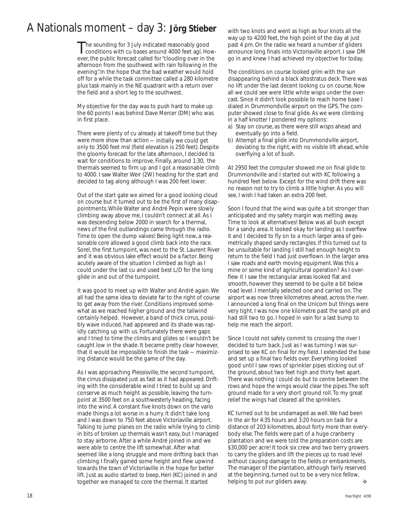## A Nationals moment – day 3: *Jörg Stieber*

The sounding for 3 July indicated reasonably good<br>conditions with cu bases around 4000 feet agl. However, the public forecast called for "clouding over in the afternoon from the southwest with rain following in the evening". In the hope that the bad weather would hold off for a while the task committee called a 280 kilometre plus task mainly in the NE quadrant with a return over the field and a short leg to the southwest.

My objective for the day was to push hard to make up the 60 points I was behind Dave Mercer (DM) who was in first place.

There were plenty of cu already at takeoff time but they were more show than action — initially we could get only to 3500 feet msl (field elevation is 250 feet). Despite the gloomy forecast for the late afternoon, I decided to wait for conditions to improve. Finally, around 1:30, the thermals seemed to firm up and I got a reasonable climb to 4000. I saw Walter Weir (2W) heading for the start and decided to tag along although I was 200 feet lower.

Out of the start gate we aimed for a good looking cloud on course but it turned out to be the first of many disappointments. While Walter and André Pepin were slowly climbing away above me, I couldn't connect at all. As I was descending below 2000 in search for a thermal, news of the first outlandings came through the radio. Time to open the dump valves! Being light now, a reasonable core allowed a good climb back into the race. Sorel, the first turnpoint, was next to the St. Laurent River and it was obvious lake effect would be a factor. Being acutely aware of the situation I climbed as high as I could under the last cu and used best L/D for the long glide in and out of the turnpoint.

It was good to meet up with Walter and André again. We all had the same idea to deviate far to the right of course to get away from the river. Conditions improved somewhat as we reached higher ground and the tailwind certainly helped. However, a band of thick cirrus, possibly wave induced, had appeared and its shade was rapidly catching up with us. Fortunately there were gaps and I tried to time the climbs and glides so I wouldn't be caught low in the shade. It became pretty clear however, that it would be impossible to finish the task — maximizing distance would be the game of the day.

As I was approaching Plessisville, the second turnpoint, the cirrus dissipated just as fast as it had appeared. Drifting with the considerable wind I tried to build up and conserve as much height as possible, leaving the turnpoint at 3500 feet on a southwesterly heading, facing into the wind. A constant five knots down on the vario made things a lot worse in a hurry. It didn't take long and I was down to 750 feet above Victoriaville airport. Talking to jump planes on the radio while trying to climb in bits of broken up thermals wasn't easy, but I managed to stay airborne. After a while André joined in and we were able to centre the lift somewhat. After what seemed like a long struggle and more drifting back than climbing I finally gained some height and flew upwind towards the town of Victoriaville in the hope for better lift. Just as audio started to beep, Heri (KC) joined in and together we managed to core the thermal. It started

with two knots and went as high as four knots all the way up to 4200 feet, the high point of the day at just past 4 pm. On the radio we heard a number of gliders announce long finals into Victoriaville airport. I saw DM go in and knew I had achieved my objective for today.

The conditions on course looked grim with the sun disappearing behind a black altostratus deck. There was no lift under the last decent looking cu on course. Now all we could see were little white wisps under the overcast. Since it didn't look possible to reach home base I dialed in Drummondville airport on the GPS. The computer showed close to final glide. As we were climbing in a half knotter I pondered my options:

- a) Stay on course, as there were still wisps ahead and eventually go into a field.
- b) Attempt a final glide into Drummondville airport, deviating to the right, with no visible lift ahead, while overflying a lot of bush.

At 2950 feet the computer showed me on final glide to Drummondville and I started out with KC following a hundred feet below. Except for the wind drift there was no reason not to try to climb a little higher. As you will see, I wish I had taken an extra 200 feet.

Soon I found that the wind was quite a bit stronger than anticipated and my safety margin was melting away. Time to look at alternatives! Below was all bush except for a sandy area. It looked okay for landing as I overflew it and I decided to fly on to a much larger area of geometrically shaped sandy rectangles. If this turned out to be unsuitable for landing I still had enough height to return to the field I had just overflown. In the larger area I saw roads and earth moving equipment. Was this a mine or some kind of agricultural operation? As I overflew it I saw the rectangular areas looked flat and smooth, however they seemed to be quite a bit below road level. I mentally selected one and carried on. The airport was now three kilometres ahead, across the river. I announced a long final on the Unicom but things were very tight. I was now one kilometre past the sand pit and had still two to go. I hoped in vain for a last bump to help me reach the airport.

Since I could not safely commit to crossing the river I decided to turn back. Just as I was turning I was surprised to see KC on final for my field. I extended the base and set up a final two fields over. Everything looked good until I saw rows of sprinkler pipes sticking out of the ground, about two feet high and thirty feet apart. There was nothing I could do but to centre between the rows and hope the wings would clear the pipes. The soft ground made for a very short ground roll. To my great relief the wings had cleared all the sprinklers.

KC turned out to be undamaged as well. We had been in the air for 4:35 hours and 3:20 hours on task for a distance of 203 kilometres, about forty more than everybody else. The fields were part of a huge cranberry plantation and we were told the preparation costs are \$30,000 per acre! It took six crew and two berry growers to carry the gliders and lift the pieces up to road level without causing damage to the fields or embankments. The manager of the plantation, although fairly reserved at the beginning, turned out to be a very nice fellow, helping to put our gliders away. ❖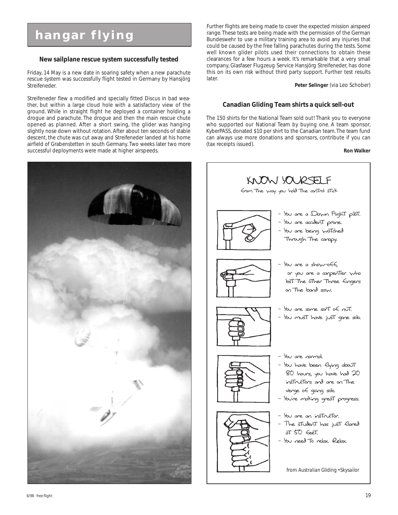## **hangar flying**

#### **New sailplane rescue system successfully tested**

Friday, 14 May is a new date in soaring safety when a new parachute rescue system was successfully flight tested in Germany by Hansjörg Streifeneder.

Streifeneder flew a modified and specially fitted Discus in bad weather, but within a large cloud hole with a satisfactory view of the ground. While in straight flight he deployed a container holding a drogue and parachute. The drogue and then the main rescue chute opened as planned. After a short swing, the glider was hanging slightly nose down without rotation. After about ten seconds of stable descent, the chute was cut away and Streifeneder landed at his home airfield of Grabenstetten in south Germany. Two weeks later two more successful deployments were made at higher airspeeds.



Further flights are being made to cover the expected mission airspeed range. These tests are being made with the permission of the German Bundeswehr to use a military training area to avoid any injuries that could be caused by the free falling parachutes during the tests. Some well known glider pilots used their connections to obtain these clearances for a few hours a week. It's remarkable that a very small company, Glasfaser Flugzeug Service Hansjörg Streifeneder, has done this on its own risk without third party support. Further test results later.

**Peter Selinger** (via Leo Schober)

#### **Canadian Gliding Team shirts a quick sell-out**

The 150 shirts for the National Team sold out! Thank you to everyone who supported our National Team by buying one. A team sponsor, KyberPASS, donated \$10 per shirt to the Canadian team. The team fund can always use more donations and sponsors, contribute if you can (tax receipts issued).

#### **Ron Walker**



from *Australian Gliding • Skysailor*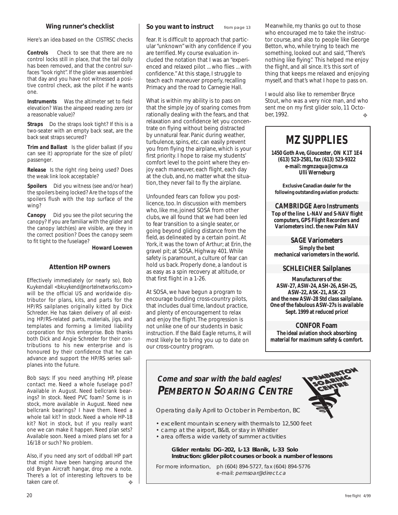#### **Wing runner's checklist**

Here's an idea based on the CISTRSC checks

*Controls* Check to see that there are no control locks still in place, that the tail dolly has been removed, and that the control surfaces "look right". If the glider was assembled that day and you have not witnessed a positive control check, ask the pilot if he wants one.

*Instruments* Was the altimeter set to field elevation? Was the airspeed reading zero (or a reasonable value)?

*Straps* Do the straps look tight? If this is a two-seater with an empty back seat, are the back seat straps secured?

*Trim and Ballast* Is the glider ballast (if you can see it) appropriate for the size of pilot/ passenger.

*Release* Is the right ring being used? Does the weak link look acceptable?

**Spoilers** Did you witness (see and/or hear) the spoilers being locked? Are the tops of the spoilers flush with the top surface of the wing?

*Canopy* Did you see the pilot securing the canopy? If you are familiar with the glider and the canopy latch(es) are visible, are they in the correct position? Does the canopy seem to fit tight to the fuselage?

**Howard Loewen**

#### **Attention HP owners**

Effectively immediately (or nearly so), Bob Kuykendall *<bkuykend@nortelnetworks.com>* will be the official US and worldwide distributor for plans, kits, and parts for the HP/RS sailplanes originally kitted by Dick Schreder. He has taken delivery of all existing HP/RS-related parts, materials, jigs, and templates and forming a limited liability corporation for this enterprise. Bob thanks both Dick and Angie Schreder for their contributions to his new enterprise and is honoured by their confidence that he can advance and support the HP/RS series sailplanes into the future.

Bob says: If you need anything HP, please contact me. Need a whole fuselage pod? Available in August. Need bellcrank bearings? In stock. Need PVC foam? Some is in stock, more available in August. Need new bellcrank bearings? I have them. Need a whole tail kit? In stock. Need a whole HP-18 kit? Not in stock, but if you really want one we can make it happen. Need plan sets? Available soon. Need a mixed plans set for a 16/18 or such? No problem.

Also, if you need any sort of oddball HP part that might have been hanging around the old Bryan Aircraft hangar, drop me a note. There's a lot of interesting leftovers to be taken care of. ❖

fear. It is difficult to approach that particular "unknown" with any confidence if you are terrified. My course evaluation included the notation that I was an "experienced and relaxed pilot ... who flies ... with confidence." At this stage, I struggle to teach each maneuver properly, recalling Primacy and the road to Carnegie Hall.

What is within my ability is to pass on that the simple joy of soaring comes from rationally dealing with the fears, and that relaxation and confidence let you concentrate on flying without being distracted by unnatural fear. Panic during weather, turbulence, spins, etc. can easily prevent you from flying the airplane, which is your first priority. I hope to raise my students' comfort level to the point where they enjoy each maneuver, each flight, each day at the club, and, no matter what the situation, they never fail to fly the airplane.

Unfounded fears can follow you postlicence, too. In discussion with members who, like me, joined SOSA from other clubs, we all found that we had been led to fear transition to a single seater, or going beyond gliding distance from the field, as delineated by a certain point. At York, it was the town of Arthur; at Erin, the gravel pit; at SOSA, Highway 401. While safety is paramount, a culture of fear can hold us back. Properly done, a landout is as easy as a spin recovery at altitude, or that first flight in a 1-26.

At SOSA, we have begun a program to encourage budding cross-country pilots, that includes dual time, landout practice, and plenty of encouragement to relax and enjoy the flight. The progression is not unlike one of our students in basic instruction. If the Bald Eagle returns, it will most likely be to bring you up to date on our cross-country program.

**So you want to instruct** from page 13 Meanwhile, my thanks go out to those who encouraged me to take the instructor course, and also to people like George Betton, who, while trying to teach me something, looked out and said, "There's nothing like flying". This helped me enjoy the flight, and all since. It's this sort of thing that keeps me relaxed and enjoying myself, and that's what I hope to pass on.

> ❖ I would also like to remember Bryce Stout, who was a very nice man, and who sent me on my first glider solo, 11 October, 1992.

## *MZ SUPPLIES*

**1450 Goth Ave, Gloucester, ON K1T 1E4 (613) 523-2581, fax (613) 523-9322 e-mail:** *mgmzaqua@cmw.ca* **Ulli Werneburg**

**Exclusive Canadian dealer for the following outstanding aviation products:**

**CAMBRIDGE Aero Instruments Top of the line L-NAV and S-NAV flight computers, GPS Flight Recorders and Variometers incl. the new Palm NAV**

**SAGE Variometers Simply the best mechanical variometers in the world.**

#### **SCHLEICHER Sailplanes**

**Manufacturers of the: ASW-27, ASW-24, ASH-26, ASH-25, ASW-22, ASK-21, ASK-23 and the new ASW-28 Std class sailplane. One of the fabulous ASW-27s is available Sept. 1999 at reduced price!**

**CONFOR Foam The ideal aviation shock absorbing material for maximum safety & comfort.**

## **Come and soar with the bald eagles! PEMBERTON SOARING CENTRE**

Operating daily April to October in Pemberton, BC

• excellent mountain scenery with thermals to 12,500 feet

- camp at the airport, B&B, or stay in Whistler
- area offers a wide variety of summer activities

**Glider rentals: DG-202, L-13 Blanik, L-33 Solo Instruction: glider pilot courses or book a number of lessons**

For more information, ph (604) 894-5727, fax (604) 894-5776 e-mail: pemsoar@direct.ca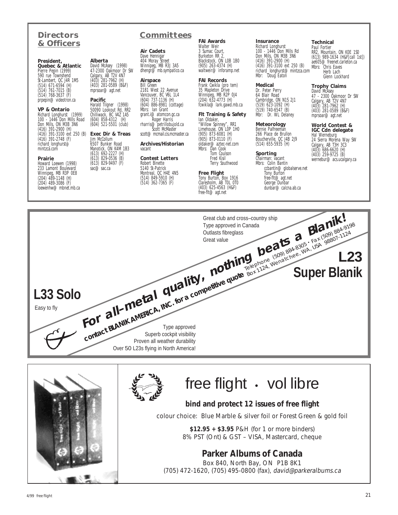#### **Directors & Officers**

**Alberta**

David McAsey (1998) 47-2300 Oakmoor Dr SW Calgary, AB T2V 4N7 (403) 281-7962 (H) (403) 281-0589 (B&F) mprsoar@agt.net **Pacific**

Harald Tilgner (1998) 50090 Lookout Rd, RR2 Chilliwack, BC V4Z 1A5 (604) 858-4312 (H) (604) 521-5501 (club) **Exec Dir & Treas** Jim McCollum 6507 Bunker Road Manotick, ON K4M 1B3 (613) 692-2227 (H) (613) 829-0536 (B) (613) 829-9497 (F) sac@sac.ca

#### **President, Quebec & Atlantic** Pierre Pepin (1999) 590 rue Townshend St-Lambert, QC J4R 1M5 (514) 671-6594 (H) (514) 761-7015 (B) (514) 768-3637 (F) prpepin@videotron.ca

**VP & Ontario**

Richard Longhurst (1999) 100 - 1446 Don Mills Road Don Mills, ON M3B 3N6 (416) 391-2900 (H) (416) 391-3100 ext 250 (B)  $(416)$  391-2748 (F) richard\_longhurst@ mintzca.com

#### **Prairie**

Howard Loewen (1998) 233 Lamont Boulevard Winnipeg, MB R3P 0E8 (204) 489-1148 (H) (204) 489-3086 (F) loewenhw $@$ mbnet mb.ca

#### **Committees**

**Air Cadets** Dave Hennigar 404 Moray Street Winnipeg, MB R3J 3A5 dhengr@mb.sympatico.ca

**Airspace** Bill Green 2181 West 22 Avenue Vancouver, BC V6L 1L4 (604) 737-1136 (H) (604) 886-8981 (cottage) Mbrs: Ian Grant grant.i@atomcon.gc.ca<br>Roger Harris rharris@petrillobujold.ca<br>Scott McMaster scott@mcmail.cis.mcmaster.ca

**Archives/Historian** vacant

#### **Contest Letters** Robert Binette 5140 St-Patrick Montreal, QC H4E 4N5 (514) 849-5910 (H) (514) 362-7365 (F)

**FAI Awards** Walter Weir 3 Sumac Court,

Burketon RR 2 Blackstock, ON LOB 1B0 (905) 263-4374 (H) waltweir@inforamp.net

**FAI Records** Frank Cwikla (pro tem) 35 Mapleton Drive Winnipeg, MB R2P 0J4 (204) 632-4773 (H) fcwikla@lark.gawd.mb.ca

**Flt Training & Safety** Ian Oldaker, "Willow Spinney", RR1 Limehouse, ON L0P 1H0

(905) 873-6081 (H) (905) 873-0110 (F) oldaker@aztec-net.com Mbrs: Dan Cook Tom Coulson Fred Kisil Terry Southwood

#### **Free Flight** Tony Burton, Box 1916 Claresholm, AB T0L 0T0 (403) 625-4563 (H&F) free-flt@agt.net

**Insurance** Richard Longhurst 100 - 1446 Don Mills Rd Don Mills, ON M3B 3N6 (416) 391-2900 (H) (416) 391-3100 ext 250 (B) richard\_longhurst@mintzca.com Mbr: Doug Eaton

**Medical** Dr. Peter Perry 64 Blair Road Cambridge, ON N1S 2J1 (519) 623-1092 (H) (519) 740-6547 (B) Mbr: Dr. WL Delaney

**Meteorology** Bernie Palfreeman 266 Place de Brullon Boucherville, QC J4B 2J9 (514) 655-5935 (H)

**Sporting** Chairman: vacant Mbrs: Colin Bantin ccbantin@globalserve.net Tony Burton free-flt@agt.net George Dunbar dunbar@calcna.ab.ca

**Technical** Paul Fortier RR2, Mountain, ON K0E 1S0 (613) 989-1634 (H&F[call 1st]) ae605@freenet.carleton.ca Mbrs: Chris Eaves Herb Lach Glenn Lockhard

**Trophy Claims** David McAsey 47 - 2300 Oakmoor Dr SW Calgary, AB T2V 4N7 (403) 281-7962 (H) (403) 281-0589 (B&F) mprsoar@agt.net

**World Contest & IGC Cdn delegate** Hal Werneburg 24 Sierra Morena Way SW Calgary, AB T3H 3C3 (403) 686-6620 (H)

(403) 259-9725 (B) wernebur@acs.ucalgary.ca





## free flight · vol libre

#### **bind and protect 12 issues of free flight**

colour choice: Blue Marble & silver foil or Forest Green & gold foil

**\$12.95 + \$3.95** P&H (for 1 or more binders) 8% PST (Ont) & GST – VISA, Mastercard, cheque

#### **Parker Albums of Canada**

Box 840, North Bay, ON P1B 8K1 (705) 472-1620, (705) 495-0800 (fax), david@parkeralbums.ca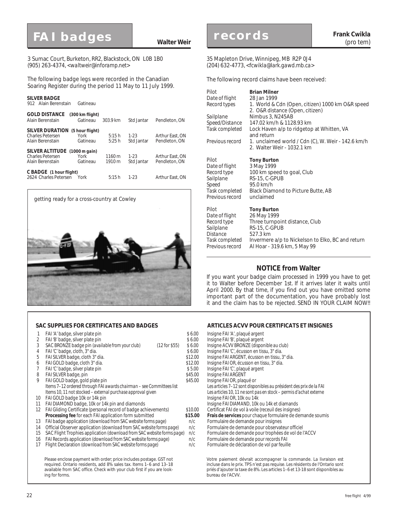## **FAI badges Walter Weir**

3 Sumac Court, Burketon, RR2, Blackstock, ON L0B 1B0 (905) 263-4374, *<waltweir@inforamp.net>*

The following badge legs were recorded in the Canadian Soaring Register during the period 11 May to 11 July 1999.

#### *SILVER BADGE*

912 Alain Berenstain Gatineau

| <b>GOLD DISTANCE</b><br>Alain Berenstain                                     | (300 km flight)<br>Gatineau         | 303.9 km                      | Std Jantar           | Pendleton, ON                    |
|------------------------------------------------------------------------------|-------------------------------------|-------------------------------|----------------------|----------------------------------|
| <b>SILVER DURATION</b><br><b>Charles Petersen</b><br>Alain Berenstain        | (5 hour flight)<br>York<br>Gatineau | 5:15h<br>5:25h                | $1-23$<br>Std Jantar | Arthur East, ON<br>Pendleton, ON |
| SILVER ALTITUDE (1000 m gain)<br><b>Charles Petersen</b><br>Alain Berenstain | York<br>Gatineau                    | $1160 \,\mathrm{m}$<br>1910 m | $1-23$<br>Std Jantar | Arthur East, ON<br>Pendleton, ON |
| C BADGE (1 hour flight)<br>2624 Charles Petersen                             | York                                | 5:15h                         | $1-23$               | Arthur East, ON                  |



#### **SAC SUPPLIES FOR CERTIFICATES AND BADGES ARTICLES ACVV POUR CERTIFICATS ET INSIGNES**

- 1 FAI 'A' badge, silver plate pin  $$ 6.00$  Insigne FAI 'A', plaqué argent 2 FAI 'B' badge, silver plate pin  $$ 6.00$  Insigne FAI 'B', plaqué argent 2 FAI 'B' badge, silver plate pin the fraction of the fraction of the state of the state of the state of the s<br>2 SAC BRONZE (disponible au club) (12 for \$55) \$6.00 Insigne ACVV BRONZE (disponible au club) 3 SAC BRONZE badge pin *(available from your club)* (12 for \$55) \$ 6.00<br>4 FAI'C' badge, cloth, 3" dia. 4 FAI 'C' badge, cloth, 3" dia. \$ 6.00 Insigne FAI 'C', écusson en tissu, 3" dia.
- 
- 
- 
- 
- FAI SILVER badge, pin
- 9 FAI GOLD badge, gold plate pin<br>Items 7-12 ordered through FAI awards chairman see Committees list Les articles 7-12 sont disponibles au président des prix de la FAI *Items 7–12 ordered through FAI awards chairman – see Committees list Les articles 7–12 sont disponibles au président des prix de la FAI Items 10, 11 not stocked – external purchase approval given* Les articles 10, 11 ne sont particles 10, 11 ne sont particles 10, 11 ne sont particles 10, 11 ne sont particles 10, 11 ne sont particles 10, 11 ne sont particl
- 
- 10 FAI GOLD badge 10k or 14k pin<br>11 FAI DIAMOND badge. 10k or 14k pin and diamonds and the state of the state of the Insigne FAI DIAMAND. 10k ou 14k et diamands 11 FAI DIAMOND badge, 10k or 14k pin and diamonds Insigne FAI DIAMAND, 10k ou 14k et diamands<br>12 FAI Gliding Certificate (personal record of badge achievements) \$10.00 Certificat FAI de vol à voile (receuil des insignes)
- 12 FAI Gliding Certificate (personal record of badge achievements) \$10.00<br>Processing fee for each FAI application form submitted \$15.00
- 13 FAI badge application *(download from SAC website forms page)*
- 14 Official Observer application *(download from SAC website forms page)* n/c Formulaire de demande pour observateur officiel
- SAC Flight Trophies application *(download from SAC website forms page)* n/c
- 16 FAI Records application *(download from SAC website forms page)* n/c Formulaire de demande pour records FAI<br>17 Flight Declaration *(download from SAC website forms page)* n/c Formulaire de déclaration de vol par feuille
- 17 Flight Declaration *(download from SAC website forms page)*

Please enclose payment with order; price includes postage. GST not required. Ontario residents, add 8% sales tax. Items 1–6 and 13–18 available from SAC office. Check with your club first if you are looking for forms.

**Frank Cwikla**

#### 35 Mapleton Drive, Winnipeg, MB R2P 0J4 (204) 632-4773, *<fcwikla@lark.gawd.mb.ca>*

The following record claims have been received:

| Pilot<br>Date of flight<br>Record types<br>Sailplane<br>Speed/Distance<br>Task completed<br>Previous record | <b>Brian Milner</b><br>28 Jan 1999<br>1. World & Cdn (Open, citizen) 1000 km O&R speed<br>2. O&R distance (Open, citizen)<br>Nimbus 3, N245AB<br>147.02 km/h & 1128.93 km<br>Lock Haven a/p to ridgetop at Whitten, VA<br>and return<br>1. unclaimed world / Cdn (C), W. Weir - 142.6 km/h<br>2. Walter Weir - 1032.1 km |
|-------------------------------------------------------------------------------------------------------------|--------------------------------------------------------------------------------------------------------------------------------------------------------------------------------------------------------------------------------------------------------------------------------------------------------------------------|
| Pilot                                                                                                       | <b>Tony Burton</b>                                                                                                                                                                                                                                                                                                       |
| Date of flight                                                                                              | 3 May 1999                                                                                                                                                                                                                                                                                                               |
| Record type                                                                                                 | 100 km speed to goal, Club                                                                                                                                                                                                                                                                                               |
| Sailplane                                                                                                   | RS-15, C-GPUB                                                                                                                                                                                                                                                                                                            |
| Speed                                                                                                       | 95.0 km/h                                                                                                                                                                                                                                                                                                                |
| Task completed                                                                                              | Black Diamond to Picture Butte, AB                                                                                                                                                                                                                                                                                       |
| Previous record                                                                                             | unclaimed                                                                                                                                                                                                                                                                                                                |
| Pilot                                                                                                       | <b>Tony Burton</b>                                                                                                                                                                                                                                                                                                       |
| Date of flight                                                                                              | 26 May 1999                                                                                                                                                                                                                                                                                                              |
| Record type                                                                                                 | Three turnpoint distance, Club                                                                                                                                                                                                                                                                                           |
| Sailplane                                                                                                   | RS-15, C-GPUB                                                                                                                                                                                                                                                                                                            |
| <i>Distance</i>                                                                                             | 527.3 km                                                                                                                                                                                                                                                                                                                 |
| Task completed                                                                                              | Invermere a/p to Nickelson to Elko, BC and return                                                                                                                                                                                                                                                                        |
| Previous record                                                                                             | Al Hoar - 319.6 km, 5 May 99                                                                                                                                                                                                                                                                                             |

#### **NOTICE from Walter**

If you want your badge claim processed in 1999 you have to get it to Walter before December 1st. If it arrives later it waits until April 2000. By that time, if you find out you have omitted some important part of the documentation, you have probably lost it and the claim has to be rejected. SEND IN YOUR CLAIM NOW!!

- 
- 
- 
- 
- 5 FAI SILVER badge, cloth 3" dia.<br>6 FAI GOLD badge, cloth 3" dia. \$12.00 Insigne FAI OR, écusson en tissu, 3" dia.
- 6 FAI GOLD badge, cloth 3" dia. \$12.00 Insigne FAI OR, écusson en tissu, 3" dia.
- 7 FAI 'C' badge, silver plate pin the state of the state of the state of the state of the state of the state of the state of the state of the state of the state of the state of the state of the state of the state of the st
	-
	- -
	-
	-
	- **15.00 Frais de services** pour chaque formulaire de demande soumis<br>n/c Formulaire de demande pour insignes
		-
		-
		-
		-
		-

Votre paiement dévrait accompagner la commande. La livraison est incluse dans le prix. TPS n'est pas requise. Les résidents de l'Ontario sont priés d'ajouter la taxe de 8%. Les articles 1–6 et 13-18 sont disponibles au bureau de l'ACVV.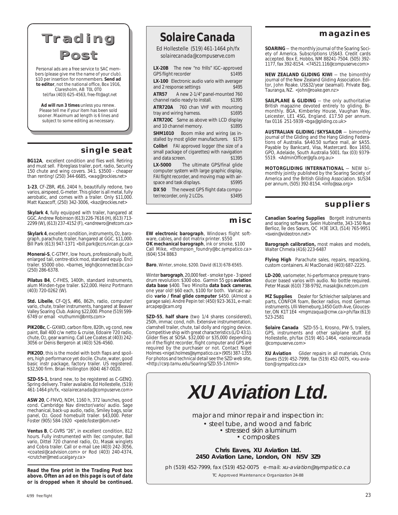



Personal ads are a free service to SAC members (please give me the name of your club). \$10 per insertion for nonmembers. **Send ad to editor**, not the national office, Box 1916, Claresholm, AB T0L 0T0 tel/fax (403) 625-4563, *free-flt@agt.net*

**Ad will run 3 times** unless you renew. Please tell me if your item has been sold sooner. Maximum ad length is 6 lines and subject to some editing as necessary.

#### **single seat**

**BG12A**, excellent condition and flies well. Retiring and must sell. Fibreglass trailer, port. radio, Security 150 chute and wing covers. 34:1. \$3500 - cheaper than renting! (250) 344-6685, *<wag@rockies.net>*

**1-23**, CF-ZBR, #16, 2404 h, beautifully redone, two varios, airspeed, G-meter. This glider is all metal, fully aerobatic, and comes with a trailer. Only \$11,000. Matt Kazacoff, (250) 342-3006, <*kaz@rockies.net>*

**Skylark 4**, fully equipped with trailer, hangared at GGC. Andrew Robinson (613) 226-7616 (H), (613) 713- 2299 (W), (613) 237-4152 (F), *<andrewro@netcom.ca>*

**Skylark 4**, excellent condition, instruments, O2, barograph, parachute, trailer, hangared at GGC. \$11,000. Bill Park (613) 947-1371 *<bill.park@ccrs.nrcan.gc.ca>*

**Monerai-S**, C-GTMY, low hours, professionally built, enlarged tail, centre-stick mod, standard equip. Encl trailer. \$5000 obo. *<barnes\_leigh@connected.bc.ca>* (250) 286-6378.

**Pilatus B4**, C-FHES, 1400h, standard instruments, alum Minden-type trailer. \$22,000. Heinz Portmann (403) 720-0262 (W).

**Std. Libelle**, CF-QJS, #86, 862h, radio, computer/ vario, chute, trailer instruments, hangared at Beaver Valley Soaring Club. Asking \$22,000. Phone (519) 599- 6749 or email *<ruthumm@bmts.com>*

**PIK20Bc**, C–GXWD, carbon fibre, 820h, vg cond, new paint, Ball 400 c/w netto & cruise, Edoaire 720 radio, chute, O2, gear warning. Call Lee Coates at (403) 242- 3056 or Denis Bergeron at (403) 526-4560.

**PIK20D**, this is the model with both flaps and spoilers, high performance yet docile. Chute, water, good basic instr package, factory trailer. US registered. \$32,500 firm. Brian Hollington (604) 467-0020.

**SZD-55-1**, brand new, to be registered as C-GENQ. Spring delivery. Trailer available. Ed Hollestelle, (519) 461-1464 ph/fx, *<solairecanada@compuserve.com>*

**ASW 20**, C-FNVQ, NDH, 1160 h, 372 launches, good cond. Cambridge Nav director/vario/ audio. Sage mechanical, back-up audio, radio, Smiley bags, solar panel, O2. Good homebuilt trailer. \$43,000. Peter Foster (905) 584-1920 *<pede.foster@ibm.net>*

**Ventus B**, C-GVRS "26", in excellent condition, 812 hours. Fully instrumented with Ilec computer, Ball vario, Dittel 720 channel radio, O2, Masak winglets and Cobra trailer. Call or e-mail Lee (403) 242-3056, *<coatesl@cadvision.com>* or Rod (403) 240-4374, *<crutcher@med.ucalgary.ca>*

*Read the fine print in the Trading Post box above. Often an ad on this page is out of date or is dropped when it should be continued.*

*Solaire Canada*

Ed Hollestelle (519) 461-1464 ph/fx *solairecanada@compuserve.com*

**LX-20B** The new "no frills" IGC-approved<br>GPS flight recorder \$1495 GPS flight recorder **LX-100** Electronic audio vario with averager and 2 response settings *\$495* **ATR57** A new 2-1/4" panel-mounted 760 channel radio ready to install. *\$1395* **ATR720A** 760 chan VHF with mounting tray and wiring harness. *\$1695* **ATR720C** Same as above with LCD display<br>and 10 channel memory. \$1895 and 10 channel memory. **SHM1010** Boom mike and wiring (as installed by most glider manufacturers. *\$175* **Colibri** FAI approved logger (the size of a small package of cigarettes) with navigation and data screen. *\$1395* **LX-5000** The ultimate GPS/final glide computer system with large graphic display, FAI flight recorder, and moving map with airspace and task displays. *\$5995* **DX 50** The newest GPS flight data computer/recorder, only 2 LCDs. *\$3495*

#### **misc**

**EW electronic barograph**, Windows flight soft-ware, cables, and dot matrix printer. \$550 **OK mechanical barograph**, ink or smoke, \$100 Call Mike, *<thompson\_foundry@bc.sympatico.ca>* (604) 534 8863

**Baro**, Winter, smoke, \$200. David (613) 678-6565.

Winter **barograph**, 20,000 feet - smoke type - 3 speed drum revolution: \$300 obo. Garmin 55 gps **aviation data base** \$400. Two Minolta **data back cameras**, one year old! \$60 each, \$100 for both. Varicalc audio **vario / final glide computer** \$450. (Almost a garage sale). André Pepin tel: (450) 923-3631, e-mail: *arcapep@cam.org*

**SZD-55**, **half share** (two 1/4 shares considered), 250h, immac cond, ndh. Extensive instrumentation, clamshell trailer, chute, tail dolly and rigging device. Competitive ship with great characteristics (L/D 43:1). Glider flies at SOSA. \$32,000 or \$35,000 depending on if the flight recorder, flight computer and GPS are required by the purchaser or not. Contact Nigel Holmes *<nigel.holmes@sympatico.ca>* (905) 387-1355 For photos and technical detail see the SZD web site, *<http://csrp.tamu.edu/Soaring/SZD.55-1.html>*

#### **magazines**

**SOARING** — the monthly journal of the Soaring Society of America. Subscriptions US\$43. Credit cards accepted. Box E, Hobbs, NM 88241-7504. (505) 392- 1177, fax 392-8154. *<74521.116@compuserve.com>*

**NEW ZEALAND GLIDING KIWI** — the bimonthly journal of the New Zealand Gliding Association. Editor, John Roake. US\$32/year (seamail). Private Bag, Tauranga, NZ. *<john@roake.gen.nz>*

**SAILPLANE & GLIDING** — the only authoritative British magazine devoted entirely to gliding. Bimonthly. BGA, Kimberley House, Vaughan Way, Leicester, LE1 4SG, England. £17.50 per annum. fax 0116 251-5939 *<bga@gliding.co.uk>*

**AUSTRALIAN GLIDING / SKYSAILOR** — bimonthly journal of the Gliding and the Hang Gliding Federations of Australia. \$A40.50 surface mail, air \$A55. Payable by Bankcard, Visa, Mastercard. Box 1650, GPO, Adelaide, South Australia 5001. fax (03) 9379- 5519. *<AdminOfficer@gfa.org.au>*

**MOTORGLIDING INTERNATIONAL** — NEW bimonthly jointly published by the Soaring Society of America and the British Gliding Association. \$US34 per annum, (505) 392-8154. *<info@ssa.org>*

#### **suppliers**

**Canadian Soaring Supplies** Borgelt instruments and soaring software. Svein Hubinette, 343-150 Rue Berlioz, Île des Sœurs, QC H3E 1K3, (514) 765-9951 *<svein@videotron.net>*

**Barograph calibration,** most makes and models, Walter Chmela (416) 223-6487

**Flying High** Parachute sales, repairs, repacking, custom containers. Al MacDonald (403) 687-2225.

**LD-200**, variometer, hi-performance pressure transducer based varios with audio. No bottle required. Peter Masak (610) 738-9792, *masak@ix.netcom.com*

**MZ Supplies** Dealer for Schleicher sailplanes and parts, CONFOR foam, Becker radios, most German instruments. Ulli Werneburg,1450 Goth Ave, Gloucester, ON K1T 1E4 *<mgmzaqua@ cmw.ca>* ph/fax (613) 523-2581

**Solaire Canada** SZD-55-1, Krosno, PW-5, trailers, GPS, instruments and other sailplane stuff. Ed Hollestelle, ph/fax (519) 461-1464, *<solairecanada @compuserve.com>*

**XU Aviation** Glider repairs in all materials. Chris Eaves (519) 452-7999, fax (519) 452-0075, *<xu-aviation@ sympatico.ca>*

**XU Aviation Ltd.**

major and minor repair and inspection in:

• steel tube, and wood and fabric • stressed skin aluminum • composites

**Chris Eaves, XU Aviation Ltd. 2450 Aviation Lane, London, ON N5V 3Z9**

ph (519) 452-7999, fax (519) 452-0075 e-mail: xu-aviation@sympatico.ca TC Approved Maintenance Organization 24-88